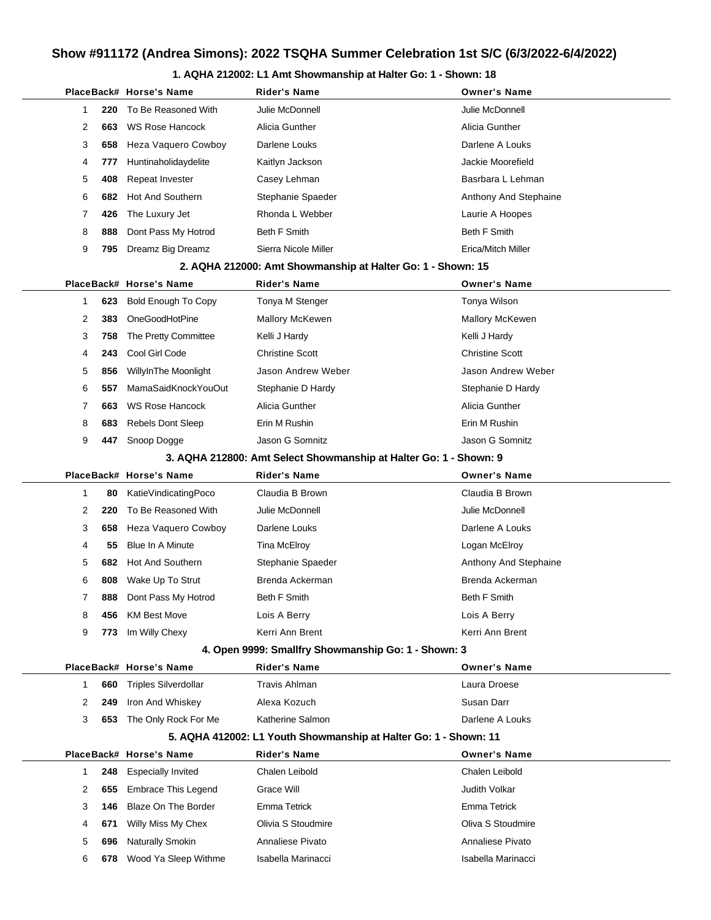#### **1. AQHA 212002: L1 Amt Showmanship at Halter Go: 1 - Shown: 18**

|              |     | PlaceBack# Horse's Name     | Rider's Name                                                      | <b>Owner's Name</b>    |
|--------------|-----|-----------------------------|-------------------------------------------------------------------|------------------------|
| 1            | 220 | To Be Reasoned With         | Julie McDonnell                                                   | Julie McDonnell        |
| 2            | 663 | <b>WS Rose Hancock</b>      | Alicia Gunther                                                    | Alicia Gunther         |
| 3            | 658 | Heza Vaquero Cowboy         | Darlene Louks                                                     | Darlene A Louks        |
| 4            | 777 | Huntinaholidaydelite        | Kaitlyn Jackson                                                   | Jackie Moorefield      |
| 5            | 408 | Repeat Invester             | Casey Lehman                                                      | Basrbara L Lehman      |
| 6            | 682 | Hot And Southern            | Stephanie Spaeder                                                 | Anthony And Stephaine  |
| 7            | 426 | The Luxury Jet              | Rhonda L Webber                                                   | Laurie A Hoopes        |
| 8            | 888 | Dont Pass My Hotrod         | Beth F Smith                                                      | <b>Beth F Smith</b>    |
| 9            | 795 | Dreamz Big Dreamz           | Sierra Nicole Miller                                              | Erica/Mitch Miller     |
|              |     |                             | 2. AQHA 212000: Amt Showmanship at Halter Go: 1 - Shown: 15       |                        |
|              |     | PlaceBack# Horse's Name     | <b>Rider's Name</b>                                               | <b>Owner's Name</b>    |
| 1            | 623 | <b>Bold Enough To Copy</b>  | Tonya M Stenger                                                   | Tonya Wilson           |
| 2            | 383 | OneGoodHotPine              | <b>Mallory McKewen</b>                                            | <b>Mallory McKewen</b> |
| 3            | 758 | The Pretty Committee        | Kelli J Hardy                                                     | Kelli J Hardy          |
| 4            | 243 | Cool Girl Code              | <b>Christine Scott</b>                                            | <b>Christine Scott</b> |
| 5            | 856 | WillyInThe Moonlight        | Jason Andrew Weber                                                | Jason Andrew Weber     |
| 6            | 557 | MamaSaidKnockYouOut         | Stephanie D Hardy                                                 | Stephanie D Hardy      |
| 7            | 663 | <b>WS Rose Hancock</b>      | Alicia Gunther                                                    | Alicia Gunther         |
| 8            | 683 | <b>Rebels Dont Sleep</b>    | Erin M Rushin                                                     | Erin M Rushin          |
| 9            | 447 | Snoop Dogge                 | Jason G Somnitz                                                   | Jason G Somnitz        |
|              |     |                             | 3. AQHA 212800: Amt Select Showmanship at Halter Go: 1 - Shown: 9 |                        |
|              |     | PlaceBack# Horse's Name     | <b>Rider's Name</b>                                               | <b>Owner's Name</b>    |
| $\mathbf{1}$ | 80  | KatieVindicatingPoco        | Claudia B Brown                                                   | Claudia B Brown        |
| 2            | 220 | To Be Reasoned With         | Julie McDonnell                                                   | Julie McDonnell        |
| 3            | 658 | Heza Vaquero Cowboy         | Darlene Louks                                                     | Darlene A Louks        |
| 4            | 55  | Blue In A Minute            | Tina McElroy                                                      | Logan McElroy          |
| 5            | 682 | Hot And Southern            | Stephanie Spaeder                                                 | Anthony And Stephaine  |
| 6            | 808 | Wake Up To Strut            | Brenda Ackerman                                                   | Brenda Ackerman        |
| 7            | 888 | Dont Pass My Hotrod         | <b>Beth F Smith</b>                                               | <b>Beth F Smith</b>    |
| 8            | 456 | <b>KM Best Move</b>         | Lois A Berry                                                      | Lois A Berry           |
| 9            | 773 | Im Willy Chexy              | Kerri Ann Brent                                                   | Kerri Ann Brent        |
|              |     |                             | 4. Open 9999: Smallfry Showmanship Go: 1 - Shown: 3               |                        |
|              |     | PlaceBack# Horse's Name     | <b>Rider's Name</b>                                               | <b>Owner's Name</b>    |
| 1            | 660 | <b>Triples Silverdollar</b> | Travis Ahlman                                                     | Laura Droese           |
| 2            | 249 | Iron And Whiskey            | Alexa Kozuch                                                      | Susan Darr             |
| 3            | 653 | The Only Rock For Me        | Katherine Salmon                                                  | Darlene A Louks        |
|              |     |                             | 5. AQHA 412002: L1 Youth Showmanship at Halter Go: 1 - Shown: 11  |                        |
|              |     | PlaceBack# Horse's Name     | <b>Rider's Name</b>                                               | <b>Owner's Name</b>    |
| 1            | 248 | <b>Especially Invited</b>   | Chalen Leibold                                                    | Chalen Leibold         |
| 2            | 655 | <b>Embrace This Legend</b>  | Grace Will                                                        | Judith Volkar          |
| 3            | 146 | <b>Blaze On The Border</b>  | Emma Tetrick                                                      | Emma Tetrick           |
| 4            | 671 | Willy Miss My Chex          | Olivia S Stoudmire                                                | Oliva S Stoudmire      |
| 5            | 696 | <b>Naturally Smokin</b>     | Annaliese Pivato                                                  | Annaliese Pivato       |
| 6            | 678 | Wood Ya Sleep Withme        | Isabella Marinacci                                                | Isabella Marinacci     |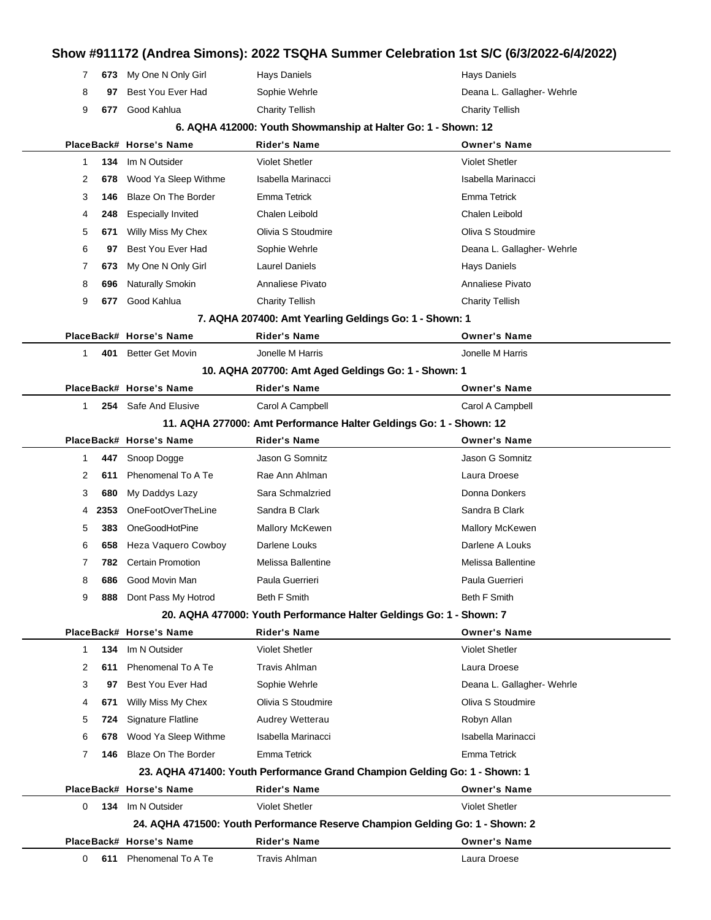|  | 7 673 My One N Only Girl | Hays Daniels    | Hays Daniels               |
|--|--------------------------|-----------------|----------------------------|
|  | 97 Best You Ever Had     | Sophie Wehrle   | Deana L. Gallagher- Wehrle |
|  | 9 <b>677</b> Good Kahlua | Charity Tellish | <b>Charity Tellish</b>     |

#### **6. AQHA 412000: Youth Showmanship at Halter Go: 1 - Shown: 12**

|              |      | PlaceBack# Horse's Name    | <b>Rider's Name</b>                                                          | <b>Owner's Name</b>        |
|--------------|------|----------------------------|------------------------------------------------------------------------------|----------------------------|
| 1            | 134  | Im N Outsider              | <b>Violet Shetler</b>                                                        | <b>Violet Shetler</b>      |
| 2            | 678  | Wood Ya Sleep Withme       | Isabella Marinacci                                                           | Isabella Marinacci         |
| 3            | 146  | <b>Blaze On The Border</b> | Emma Tetrick                                                                 | <b>Emma Tetrick</b>        |
| 4            | 248  | <b>Especially Invited</b>  | Chalen Leibold                                                               | Chalen Leibold             |
| 5            | 671  | Willy Miss My Chex         | Olivia S Stoudmire                                                           | Oliva S Stoudmire          |
| 6            | 97   | Best You Ever Had          | Sophie Wehrle                                                                | Deana L. Gallagher- Wehrle |
| 7            | 673  | My One N Only Girl         | Laurel Daniels                                                               | Hays Daniels               |
| 8            | 696  | Naturally Smokin           | Annaliese Pivato                                                             | Annaliese Pivato           |
| 9            | 677  | Good Kahlua                | <b>Charity Tellish</b>                                                       | <b>Charity Tellish</b>     |
|              |      |                            | 7. AQHA 207400: Amt Yearling Geldings Go: 1 - Shown: 1                       |                            |
|              |      | PlaceBack# Horse's Name    | <b>Rider's Name</b>                                                          | <b>Owner's Name</b>        |
| $\mathbf{1}$ | 401  | <b>Better Get Movin</b>    | Jonelle M Harris                                                             | Jonelle M Harris           |
|              |      |                            | 10. AQHA 207700: Amt Aged Geldings Go: 1 - Shown: 1                          |                            |
|              |      | PlaceBack# Horse's Name    | <b>Rider's Name</b>                                                          | <b>Owner's Name</b>        |
| 1            |      | 254 Safe And Elusive       | Carol A Campbell                                                             | Carol A Campbell           |
|              |      |                            | 11. AQHA 277000: Amt Performance Halter Geldings Go: 1 - Shown: 12           |                            |
|              |      | PlaceBack# Horse's Name    | <b>Rider's Name</b>                                                          | <b>Owner's Name</b>        |
| 1            | 447  | Snoop Dogge                | Jason G Somnitz                                                              | Jason G Somnitz            |
| 2            | 611  | Phenomenal To A Te         | Rae Ann Ahlman                                                               | Laura Droese               |
| 3            | 680  | My Daddys Lazy             | Sara Schmalzried                                                             | Donna Donkers              |
| 4            | 2353 | OneFootOverTheLine         | Sandra B Clark                                                               | Sandra B Clark             |
| 5            | 383  | OneGoodHotPine             | <b>Mallory McKewen</b>                                                       | <b>Mallory McKewen</b>     |
| 6            | 658  | Heza Vaquero Cowboy        | Darlene Louks                                                                | Darlene A Louks            |
| 7            | 782  | <b>Certain Promotion</b>   | Melissa Ballentine                                                           | Melissa Ballentine         |
| 8            | 686  | Good Movin Man             | Paula Guerrieri                                                              | Paula Guerrieri            |
| 9            | 888  | Dont Pass My Hotrod        | Beth F Smith                                                                 | Beth F Smith               |
|              |      |                            | 20. AQHA 477000: Youth Performance Halter Geldings Go: 1 - Shown: 7          |                            |
|              |      | PlaceBack# Horse's Name    | <b>Rider's Name</b>                                                          | <b>Owner's Name</b>        |
| 1            |      | 134 Im N Outsider          | Violet Shetler                                                               | <b>Violet Shetler</b>      |
| 2            | 611  | Phenomenal To A Te         | <b>Travis Ahlman</b>                                                         | Laura Droese               |
| 3            | 97   | Best You Ever Had          | Sophie Wehrle                                                                | Deana L. Gallagher- Wehrle |
| 4            | 671  | Willy Miss My Chex         | Olivia S Stoudmire                                                           | Oliva S Stoudmire          |
| 5            | 724  | <b>Signature Flatline</b>  | Audrey Wetterau                                                              | Robyn Allan                |
| 6            | 678  | Wood Ya Sleep Withme       | Isabella Marinacci                                                           | Isabella Marinacci         |
| 7            | 146  | Blaze On The Border        | Emma Tetrick                                                                 | <b>Emma Tetrick</b>        |
|              |      |                            | 23. AQHA 471400: Youth Performance Grand Champion Gelding Go: 1 - Shown: 1   |                            |
|              |      | PlaceBack# Horse's Name    | <b>Rider's Name</b>                                                          | <b>Owner's Name</b>        |
| 0            | 134  | Im N Outsider              | <b>Violet Shetler</b>                                                        | <b>Violet Shetler</b>      |
|              |      |                            | 24. AQHA 471500: Youth Performance Reserve Champion Gelding Go: 1 - Shown: 2 |                            |
|              |      | PlaceBack# Horse's Name    | <b>Rider's Name</b>                                                          | <b>Owner's Name</b>        |
| 0            | 611  | Phenomenal To A Te         | <b>Travis Ahlman</b>                                                         | Laura Droese               |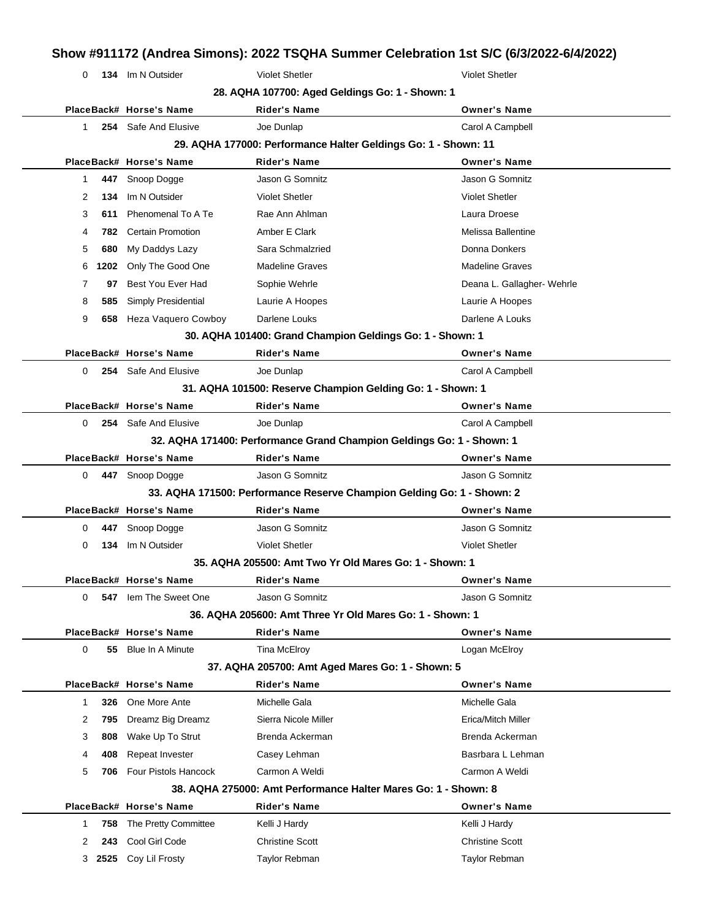| 0            |      | 134 Im N Outsider        | <b>Violet Shetler</b>                                                  | <b>Violet Shetler</b>      |
|--------------|------|--------------------------|------------------------------------------------------------------------|----------------------------|
|              |      |                          | 28. AQHA 107700: Aged Geldings Go: 1 - Shown: 1                        |                            |
|              |      | PlaceBack# Horse's Name  | <b>Rider's Name</b>                                                    | <b>Owner's Name</b>        |
| 1            |      | 254 Safe And Elusive     | Joe Dunlap                                                             | Carol A Campbell           |
|              |      |                          | 29. AQHA 177000: Performance Halter Geldings Go: 1 - Shown: 11         |                            |
|              |      | PlaceBack# Horse's Name  | <b>Rider's Name</b>                                                    | <b>Owner's Name</b>        |
| 1            | 447  | Snoop Dogge              | Jason G Somnitz                                                        | Jason G Somnitz            |
| 2            | 134  | Im N Outsider            | <b>Violet Shetler</b>                                                  | <b>Violet Shetler</b>      |
| 3            | 611  | Phenomenal To A Te       | Rae Ann Ahlman                                                         | Laura Droese               |
| 4            | 782. | <b>Certain Promotion</b> | Amber E Clark                                                          | Melissa Ballentine         |
| 5            | 680  | My Daddys Lazy           | Sara Schmalzried                                                       | Donna Donkers              |
| 6            | 1202 | Only The Good One        | <b>Madeline Graves</b>                                                 | <b>Madeline Graves</b>     |
| 7            | 97   | Best You Ever Had        | Sophie Wehrle                                                          | Deana L. Gallagher- Wehrle |
| 8            | 585  | Simply Presidential      | Laurie A Hoopes                                                        | Laurie A Hoopes            |
| 9            | 658  | Heza Vaquero Cowboy      | Darlene Louks                                                          | Darlene A Louks            |
|              |      |                          | 30. AQHA 101400: Grand Champion Geldings Go: 1 - Shown: 1              |                            |
|              |      | PlaceBack# Horse's Name  | <b>Rider's Name</b>                                                    | <b>Owner's Name</b>        |
| 0            |      | 254 Safe And Elusive     | Joe Dunlap                                                             | Carol A Campbell           |
|              |      |                          | 31. AQHA 101500: Reserve Champion Gelding Go: 1 - Shown: 1             |                            |
|              |      | PlaceBack# Horse's Name  | <b>Rider's Name</b>                                                    | <b>Owner's Name</b>        |
| 0            |      | 254 Safe And Elusive     | Joe Dunlap                                                             | Carol A Campbell           |
|              |      |                          | 32. AQHA 171400: Performance Grand Champion Geldings Go: 1 - Shown: 1  |                            |
|              |      | PlaceBack# Horse's Name  | <b>Rider's Name</b>                                                    | <b>Owner's Name</b>        |
| 0            |      | 447 Snoop Dogge          | Jason G Somnitz                                                        | Jason G Somnitz            |
|              |      |                          | 33. AQHA 171500: Performance Reserve Champion Gelding Go: 1 - Shown: 2 |                            |
|              |      | PlaceBack# Horse's Name  | <b>Rider's Name</b>                                                    | <b>Owner's Name</b>        |
| 0            | 447  | Snoop Dogge              | Jason G Somnitz                                                        | Jason G Somnitz            |
| 0            | 134  | Im N Outsider            | <b>Violet Shetler</b>                                                  | <b>Violet Shetler</b>      |
|              |      |                          | 35. AQHA 205500: Amt Two Yr Old Mares Go: 1 - Shown: 1                 |                            |
|              |      | PlaceBack# Horse's Name  | <b>Rider's Name</b>                                                    | <b>Owner's Name</b>        |
| 0            | 547  | lem The Sweet One        | Jason G Somnitz                                                        | Jason G Somnitz            |
|              |      |                          | 36. AQHA 205600: Amt Three Yr Old Mares Go: 1 - Shown: 1               |                            |
|              |      | PlaceBack# Horse's Name  | <b>Rider's Name</b>                                                    | <b>Owner's Name</b>        |
| 0            |      | 55 Blue In A Minute      | Tina McElroy                                                           | Logan McElroy              |
|              |      |                          | 37. AQHA 205700: Amt Aged Mares Go: 1 - Shown: 5                       |                            |
|              |      | PlaceBack# Horse's Name  | <b>Rider's Name</b>                                                    | <b>Owner's Name</b>        |
| $\mathbf{1}$ | 326  | One More Ante            | Michelle Gala                                                          | Michelle Gala              |
| 2            | 795  | Dreamz Big Dreamz        | Sierra Nicole Miller                                                   | Erica/Mitch Miller         |
| 3            | 808  | Wake Up To Strut         | Brenda Ackerman                                                        | Brenda Ackerman            |
| 4            | 408  | Repeat Invester          | Casey Lehman                                                           | Basrbara L Lehman          |
| 5            | 706  | Four Pistols Hancock     | Carmon A Weldi                                                         | Carmon A Weldi             |
|              |      |                          | 38. AQHA 275000: Amt Performance Halter Mares Go: 1 - Shown: 8         |                            |
|              |      |                          |                                                                        |                            |

1 758 The Pretty Committee Kelli J Hardy Kelli J Hardy Kelli J Hardy 2 **243** Cool Girl Code Christine Scott Christine Scott Christine Scott 3 **2525** Coy Lil Frosty Taylor Rebman Taylor Rebman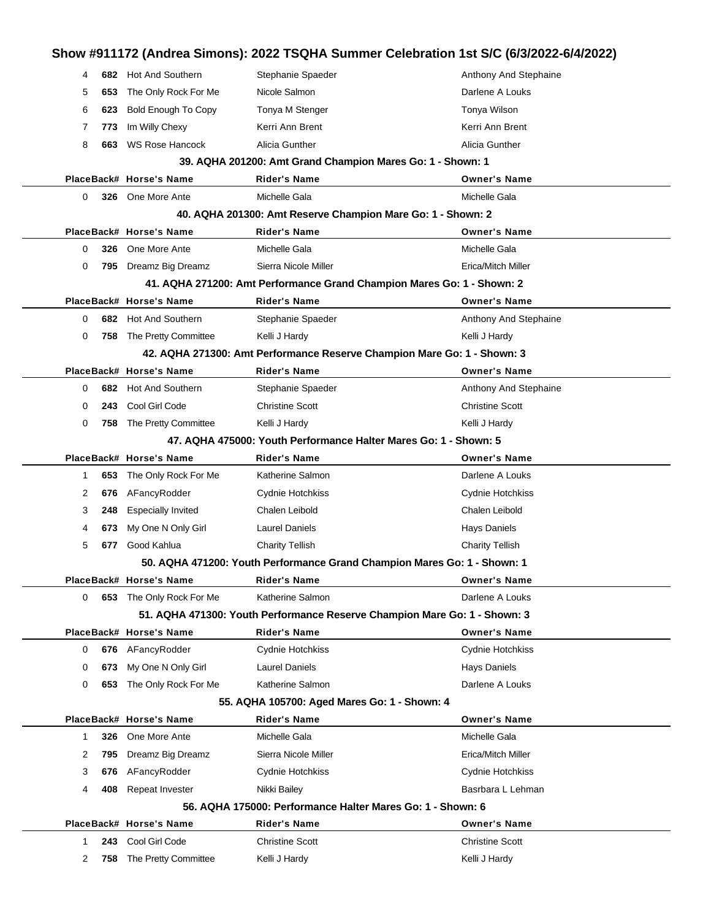### **Show #911172 (Andrea Simons): 2022 TSQHA Summer Celebration 1st S/C (6/3/2022-6/4/2022)** 4 **682** Hot And Southern Stephanie Spaeder Spaeder Anthony And Stephaine 5 **653** The Only Rock For Me Nicole Salmon Darlene A Louks 6 **623** Bold Enough To Copy Tonya M Stenger Tomagness Tonya Wilson 7 773 Im Willy Chexy **Kerri Ann Brent** Kerri Ann Brent Kerri Ann Brent 8 **663** WS Rose Hancock Alicia Gunther Alicia Gunther Alicia Gunther Alicia Gunther **39. AQHA 201200: Amt Grand Champion Mares Go: 1 - Shown: 1 PlaceBack# Horse's Name Rider's Name Owner's Name** 0 **326** One More Ante **Michelle Gala** Michelle Gala Michelle Gala **40. AQHA 201300: Amt Reserve Champion Mare Go: 1 - Shown: 2 PlaceBack# Horse's Name Rider's Name Owner's Name** 0 **326** One More Ante **Michelle Gala** Michelle Gala Michelle Gala 0 795 Dreamz Big Dreamz Sierra Nicole Miller **Example 20 Sierra Nicole Miller** Erica/Mitch Miller **41. AQHA 271200: Amt Performance Grand Champion Mares Go: 1 - Shown: 2 PlaceBack# Horse's Name Rider's Name Owner's Name** 0 **682** Hot And Southern Stephanie Spaeder Spaeder Anthony And Stephaine 0 758 The Pretty Committee Kelli J Hardy Kelli J Hardy Kelli J Hardy Kelli J Hardy **42. AQHA 271300: Amt Performance Reserve Champion Mare Go: 1 - Shown: 3 PlaceBack# Horse's Name Rider's Name Owner's Name** 0 **682** Hot And Southern Stephanie Spaeder Spaeder Anthony And Stephaine 0 **243** Cool Girl Code Christine Scott Christine Scott 0 758 The Pretty Committee Kelli J Hardy **Kelli Access 12 Access 12 Access** Kelli J Hardy **47. AQHA 475000: Youth Performance Halter Mares Go: 1 - Shown: 5 PlaceBack# Horse's Name Rider's Name Owner's Name** 1 **653** The Only Rock For Me Katherine Salmon New York Carlene A Louks 2 **676** AFancyRodder Cydnie Hotchkiss Cydnie Hotchkiss 3 **248** Especially Invited Chalen Leibold Chalen Leibold 4 **673** My One N Only Girl Laurel Daniels **Hays Daniels** Hays Daniels 5 **677** Good Kahlua Charity Tellish Charity Tellish **50. AQHA 471200: Youth Performance Grand Champion Mares Go: 1 - Shown: 1 PlaceBack# Horse's Name Rider's Name Owner's Name** 0 **653** The Only Rock For Me Katherine Salmon National Country Research Darlene A Louks **51. AQHA 471300: Youth Performance Reserve Champion Mare Go: 1 - Shown: 3 PlaceBack# Horse's Name Rider's Name Owner's Name** 0 **676** AFancyRodder Cydnie Hotchkiss Cydnie Hotchkiss 0 **673** My One N Only Girl Laurel Daniels **Hays Daniels** Hays Daniels 0 **653** The Only Rock For Me Katherine Salmon **Communist Constructs** Darlene A Louks **55. AQHA 105700: Aged Mares Go: 1 - Shown: 4 PlaceBack# Horse's Name Rider's Name Owner's Name** 1 **326** One More Ante Michelle Gala Michelle Gala 2 795 Dreamz Big Dreamz Sierra Nicole Miller **Example 2 Sierra Nicole Miller** Erica/Mitch Miller 3 **676** AFancyRodder Cydnie Hotchkiss Cydnie Hotchkiss Cydnie Hotchkiss 4 **408** Repeat Invester **Nikki Bailey Basrbara L Lehman 56. AQHA 175000: Performance Halter Mares Go: 1 - Shown: 6 PlaceBack# Horse's Name Rider's Name Owner's Name** 1 **243** Cool Girl Code Christine Scott Christine Scott 2 758 The Pretty Committee Kelli J Hardy Kelli and young Kelli J Hardy Kelli J Hardy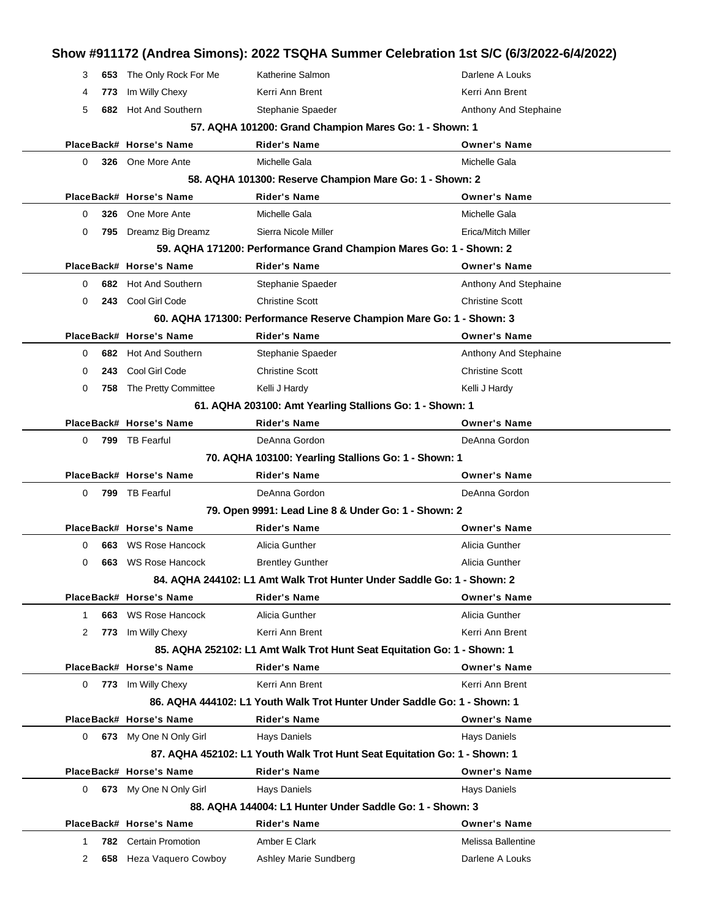| 3           |     | 653 The Only Rock For Me | Katherine Salmon                                                          | Darlene A Louks        |
|-------------|-----|--------------------------|---------------------------------------------------------------------------|------------------------|
| 4           | 773 | Im Willy Chexy           | Kerri Ann Brent                                                           | Kerri Ann Brent        |
| 5           |     | 682 Hot And Southern     | Stephanie Spaeder                                                         | Anthony And Stephaine  |
|             |     |                          | 57. AQHA 101200: Grand Champion Mares Go: 1 - Shown: 1                    |                        |
|             |     | PlaceBack# Horse's Name  | <b>Rider's Name</b>                                                       | <b>Owner's Name</b>    |
| 0           |     | 326 One More Ante        | Michelle Gala                                                             | Michelle Gala          |
|             |     |                          | 58. AQHA 101300: Reserve Champion Mare Go: 1 - Shown: 2                   |                        |
|             |     | PlaceBack# Horse's Name  | <b>Rider's Name</b>                                                       | <b>Owner's Name</b>    |
| 0           |     | 326 One More Ante        | Michelle Gala                                                             | Michelle Gala          |
| 0           |     | 795 Dreamz Big Dreamz    | Sierra Nicole Miller                                                      | Erica/Mitch Miller     |
|             |     |                          | 59. AQHA 171200: Performance Grand Champion Mares Go: 1 - Shown: 2        |                        |
|             |     | PlaceBack# Horse's Name  | <b>Rider's Name</b>                                                       | <b>Owner's Name</b>    |
| 0           |     | 682 Hot And Southern     | Stephanie Spaeder                                                         | Anthony And Stephaine  |
| 0           |     | 243 Cool Girl Code       | <b>Christine Scott</b>                                                    | <b>Christine Scott</b> |
|             |     |                          | 60. AQHA 171300: Performance Reserve Champion Mare Go: 1 - Shown: 3       |                        |
|             |     | PlaceBack# Horse's Name  | <b>Rider's Name</b>                                                       | <b>Owner's Name</b>    |
| 0           |     | 682 Hot And Southern     | Stephanie Spaeder                                                         | Anthony And Stephaine  |
| 0           | 243 | Cool Girl Code           | <b>Christine Scott</b>                                                    | <b>Christine Scott</b> |
| 0           |     | 758 The Pretty Committee | Kelli J Hardy                                                             | Kelli J Hardy          |
|             |     |                          | 61. AQHA 203100: Amt Yearling Stallions Go: 1 - Shown: 1                  |                        |
|             |     | PlaceBack# Horse's Name  | <b>Rider's Name</b>                                                       | <b>Owner's Name</b>    |
| 0           |     | 799 TB Fearful           | DeAnna Gordon                                                             | DeAnna Gordon          |
|             |     |                          | 70. AQHA 103100: Yearling Stallions Go: 1 - Shown: 1                      |                        |
|             |     | PlaceBack# Horse's Name  | Rider's Name                                                              | <b>Owner's Name</b>    |
| 0           |     | 799 TB Fearful           | DeAnna Gordon                                                             | DeAnna Gordon          |
|             |     |                          | 79. Open 9991: Lead Line 8 & Under Go: 1 - Shown: 2                       |                        |
|             |     | PlaceBack# Horse's Name  | <b>Rider's Name</b>                                                       | <b>Owner's Name</b>    |
| 0           | 663 | <b>WS Rose Hancock</b>   | Alicia Gunther                                                            | Alicia Gunther         |
| 0           | 663 | WS Rose Hancock          | <b>Brentley Gunther</b>                                                   | Alicia Gunther         |
|             |     |                          | 84. AQHA 244102: L1 Amt Walk Trot Hunter Under Saddle Go: 1 - Shown: 2    |                        |
|             |     | PlaceBack# Horse's Name  | <b>Rider's Name</b>                                                       | <b>Owner's Name</b>    |
| $\mathbf 1$ |     | 663 WS Rose Hancock      | Alicia Gunther                                                            | Alicia Gunther         |
| 2           |     | 773 Im Willy Chexy       | Kerri Ann Brent                                                           | Kerri Ann Brent        |
|             |     |                          | 85. AQHA 252102: L1 Amt Walk Trot Hunt Seat Equitation Go: 1 - Shown: 1   |                        |
|             |     | PlaceBack# Horse's Name  | <b>Rider's Name</b>                                                       | <b>Owner's Name</b>    |
|             |     | 773 Im Willy Chexy       | Kerri Ann Brent                                                           | Kerri Ann Brent        |
| 0           |     |                          |                                                                           |                        |
|             |     |                          | 86. AQHA 444102: L1 Youth Walk Trot Hunter Under Saddle Go: 1 - Shown: 1  |                        |
|             |     | PlaceBack# Horse's Name  | <b>Rider's Name</b>                                                       | <b>Owner's Name</b>    |
| $\Omega$    |     | 673 My One N Only Girl   | <b>Hays Daniels</b>                                                       | <b>Hays Daniels</b>    |
|             |     |                          | 87. AQHA 452102: L1 Youth Walk Trot Hunt Seat Equitation Go: 1 - Shown: 1 |                        |
|             |     | PlaceBack# Horse's Name  | <b>Rider's Name</b>                                                       | <b>Owner's Name</b>    |
| $\Omega$    |     | 673 My One N Only Girl   | Hays Daniels                                                              | <b>Hays Daniels</b>    |
|             |     |                          | 88. AQHA 144004: L1 Hunter Under Saddle Go: 1 - Shown: 3                  |                        |
|             |     | PlaceBack# Horse's Name  | <b>Rider's Name</b>                                                       | <b>Owner's Name</b>    |
| 1           |     | 782 Certain Promotion    | Amber E Clark                                                             | Melissa Ballentine     |
| 2           |     | 658 Heza Vaquero Cowboy  | Ashley Marie Sundberg                                                     | Darlene A Louks        |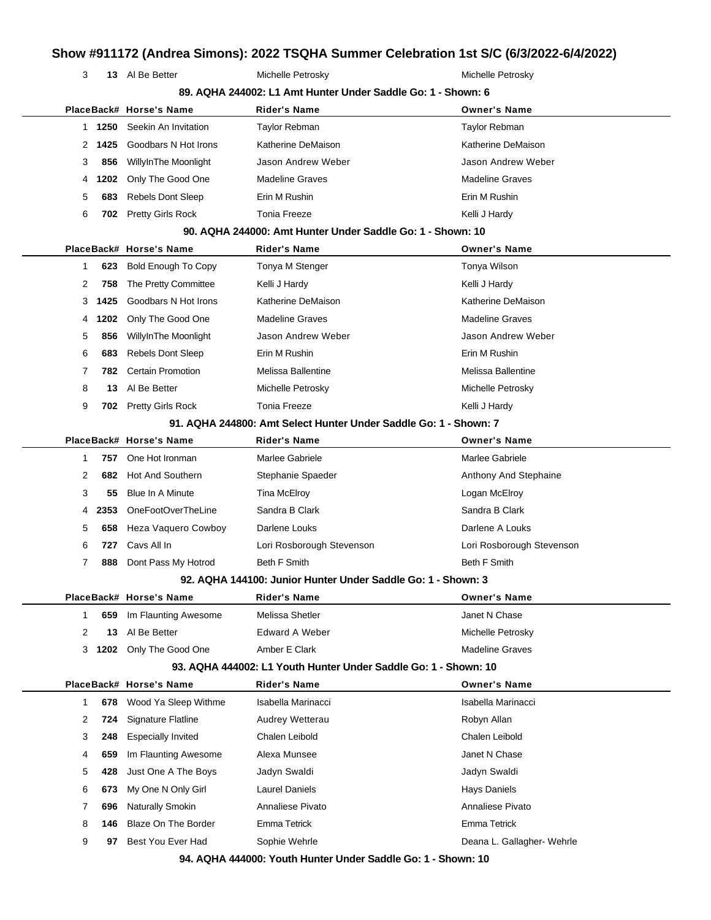**13** Al Be Better Michelle Petrosky Michelle Petrosky

|                       |                            | 89. AQHA 244002: L1 Amt Hunter Under Saddle Go: 1 - Shown: 6     |                            |
|-----------------------|----------------------------|------------------------------------------------------------------|----------------------------|
|                       | PlaceBack# Horse's Name    | <b>Rider's Name</b>                                              | <b>Owner's Name</b>        |
| 1250<br>1             | Seekin An Invitation       | Taylor Rebman                                                    | <b>Taylor Rebman</b>       |
| 1425<br>2             | Goodbars N Hot Irons       | Katherine DeMaison                                               | Katherine DeMaison         |
| 3<br>856              | WillyInThe Moonlight       | Jason Andrew Weber                                               | Jason Andrew Weber         |
| 1202<br>4             | Only The Good One          | <b>Madeline Graves</b>                                           | <b>Madeline Graves</b>     |
| 683<br>5              | <b>Rebels Dont Sleep</b>   | Erin M Rushin                                                    | Erin M Rushin              |
| 6<br>702              | <b>Pretty Girls Rock</b>   | <b>Tonia Freeze</b>                                              | Kelli J Hardy              |
|                       |                            | 90. AQHA 244000: Amt Hunter Under Saddle Go: 1 - Shown: 10       |                            |
|                       | PlaceBack# Horse's Name    | <b>Rider's Name</b>                                              | <b>Owner's Name</b>        |
| 623<br>1              | <b>Bold Enough To Copy</b> | Tonya M Stenger                                                  | Tonya Wilson               |
| 2<br>758              | The Pretty Committee       | Kelli J Hardy                                                    | Kelli J Hardy              |
| 1425<br>3             | Goodbars N Hot Irons       | Katherine DeMaison                                               | Katherine DeMaison         |
| 1202<br>4             | Only The Good One          | <b>Madeline Graves</b>                                           | <b>Madeline Graves</b>     |
| 856<br>5              | WillyInThe Moonlight       | Jason Andrew Weber                                               | Jason Andrew Weber         |
| 6<br>683              | <b>Rebels Dont Sleep</b>   | Erin M Rushin                                                    | Erin M Rushin              |
| $\overline{7}$<br>782 | Certain Promotion          | Melissa Ballentine                                               | Melissa Ballentine         |
| 8<br>13               | Al Be Better               | Michelle Petrosky                                                | Michelle Petrosky          |
| 9<br>702              | <b>Pretty Girls Rock</b>   | <b>Tonia Freeze</b>                                              | Kelli J Hardy              |
|                       |                            | 91. AQHA 244800: Amt Select Hunter Under Saddle Go: 1 - Shown: 7 |                            |
|                       | PlaceBack# Horse's Name    | <b>Rider's Name</b>                                              | <b>Owner's Name</b>        |
| 757<br>1              | One Hot Ironman            | Marlee Gabriele                                                  | Marlee Gabriele            |
| 2<br>682              | <b>Hot And Southern</b>    | Stephanie Spaeder                                                | Anthony And Stephaine      |
| 3<br>55               | Blue In A Minute           | Tina McElroy                                                     | Logan McElroy              |
| 2353<br>4             | OneFootOverTheLine         | Sandra B Clark                                                   | Sandra B Clark             |
| 658<br>5              | Heza Vaquero Cowboy        | Darlene Louks                                                    | Darlene A Louks            |
| 6<br>727              | Cavs All In                | Lori Rosborough Stevenson                                        | Lori Rosborough Stevenson  |
| 7<br>888              | Dont Pass My Hotrod        | <b>Beth F Smith</b>                                              | <b>Beth F Smith</b>        |
|                       |                            | 92. AQHA 144100: Junior Hunter Under Saddle Go: 1 - Shown: 3     |                            |
|                       | PlaceBack# Horse's Name    | <b>Rider's Name</b>                                              | <b>Owner's Name</b>        |
| 659<br>1              | Im Flaunting Awesome       | Melissa Shetler                                                  | Janet N Chase              |
| 2<br>13               | Al Be Better               | <b>Edward A Weber</b>                                            | Michelle Petrosky          |
| 1202<br>3             | Only The Good One          | Amber E Clark                                                    | <b>Madeline Graves</b>     |
|                       |                            | 93. AQHA 444002: L1 Youth Hunter Under Saddle Go: 1 - Shown: 10  |                            |
|                       | PlaceBack# Horse's Name    | <b>Rider's Name</b>                                              | <b>Owner's Name</b>        |
| 1<br>678              | Wood Ya Sleep Withme       | Isabella Marinacci                                               | Isabella Marinacci         |
| 2<br>724              | Signature Flatline         | Audrey Wetterau                                                  | Robyn Allan                |
| 3<br>248              | <b>Especially Invited</b>  | Chalen Leibold                                                   | Chalen Leibold             |
| 4<br>659              | Im Flaunting Awesome       | Alexa Munsee                                                     | Janet N Chase              |
| 5<br>428              | Just One A The Boys        | Jadyn Swaldi                                                     | Jadyn Swaldi               |
| 6<br>673              | My One N Only Girl         | <b>Laurel Daniels</b>                                            | <b>Hays Daniels</b>        |
| 7<br>696              | <b>Naturally Smokin</b>    | Annaliese Pivato                                                 | Annaliese Pivato           |
| 8<br>146              | Blaze On The Border        | Emma Tetrick                                                     | Emma Tetrick               |
| 9<br>97               | Best You Ever Had          | Sophie Wehrle                                                    | Deana L. Gallagher- Wehrle |
|                       |                            |                                                                  |                            |

**94. AQHA 444000: Youth Hunter Under Saddle Go: 1 - Shown: 10**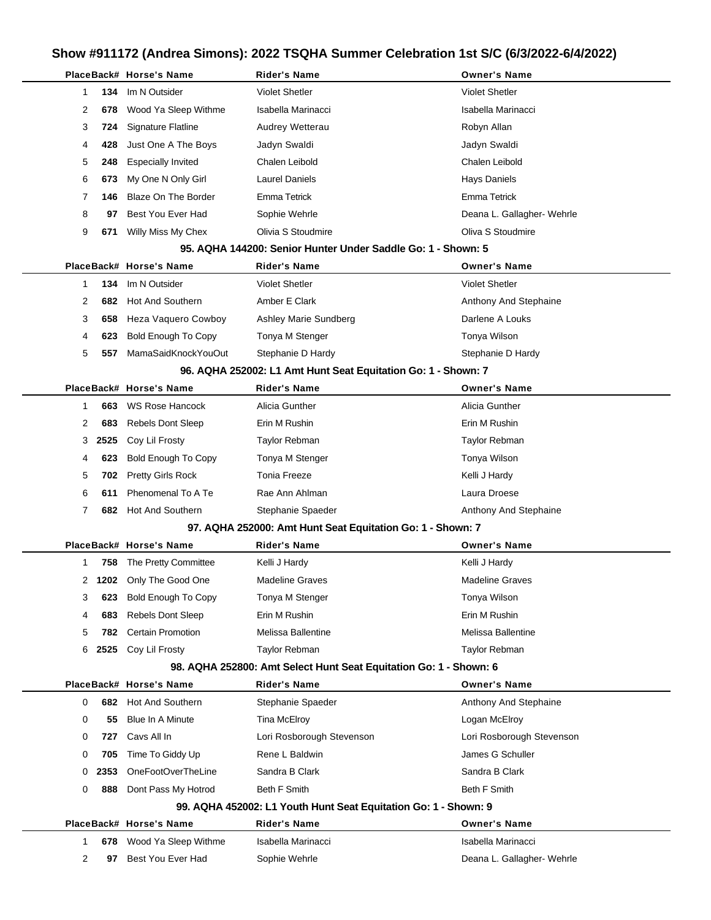|   |      | PlaceBack# Horse's Name    | <b>Rider's Name</b>                                               | <b>Owner's Name</b>        |
|---|------|----------------------------|-------------------------------------------------------------------|----------------------------|
| 1 | 134  | Im N Outsider              | <b>Violet Shetler</b>                                             | <b>Violet Shetler</b>      |
| 2 | 678  | Wood Ya Sleep Withme       | Isabella Marinacci                                                | Isabella Marinacci         |
| 3 | 724  | Signature Flatline         | Audrey Wetterau                                                   | Robyn Allan                |
| 4 | 428  | Just One A The Boys        | Jadyn Swaldi                                                      | Jadyn Swaldi               |
| 5 | 248  | <b>Especially Invited</b>  | Chalen Leibold                                                    | Chalen Leibold             |
| 6 | 673  | My One N Only Girl         | <b>Laurel Daniels</b>                                             | Hays Daniels               |
| 7 | 146  | Blaze On The Border        | Emma Tetrick                                                      | Emma Tetrick               |
| 8 | 97   | Best You Ever Had          | Sophie Wehrle                                                     | Deana L. Gallagher- Wehrle |
| 9 | 671  | Willy Miss My Chex         | Olivia S Stoudmire                                                | Oliva S Stoudmire          |
|   |      |                            | 95. AQHA 144200: Senior Hunter Under Saddle Go: 1 - Shown: 5      |                            |
|   |      | PlaceBack# Horse's Name    | <b>Rider's Name</b>                                               | <b>Owner's Name</b>        |
| 1 | 134  | Im N Outsider              | <b>Violet Shetler</b>                                             | <b>Violet Shetler</b>      |
| 2 | 682  | <b>Hot And Southern</b>    | Amber E Clark                                                     | Anthony And Stephaine      |
| 3 | 658  | Heza Vaquero Cowboy        | Ashley Marie Sundberg                                             | Darlene A Louks            |
| 4 | 623  | <b>Bold Enough To Copy</b> | Tonya M Stenger                                                   | Tonya Wilson               |
| 5 | 557  | MamaSaidKnockYouOut        | Stephanie D Hardy                                                 | Stephanie D Hardy          |
|   |      |                            | 96. AQHA 252002: L1 Amt Hunt Seat Equitation Go: 1 - Shown: 7     |                            |
|   |      | PlaceBack# Horse's Name    | <b>Rider's Name</b>                                               | <b>Owner's Name</b>        |
| 1 | 663  | <b>WS Rose Hancock</b>     | Alicia Gunther                                                    | Alicia Gunther             |
| 2 | 683  | <b>Rebels Dont Sleep</b>   | Erin M Rushin                                                     | Erin M Rushin              |
| 3 | 2525 | Coy Lil Frosty             | Taylor Rebman                                                     | Taylor Rebman              |
| 4 | 623  | <b>Bold Enough To Copy</b> | Tonya M Stenger                                                   | Tonya Wilson               |
| 5 | 702  | <b>Pretty Girls Rock</b>   | Tonia Freeze                                                      | Kelli J Hardy              |
| 6 | 611  | Phenomenal To A Te         | Rae Ann Ahlman                                                    | Laura Droese               |
| 7 |      | 682 Hot And Southern       | Stephanie Spaeder                                                 | Anthony And Stephaine      |
|   |      |                            | 97. AQHA 252000: Amt Hunt Seat Equitation Go: 1 - Shown: 7        |                            |
|   |      | PlaceBack# Horse's Name    | Rider's Name                                                      | <b>Owner's Name</b>        |
| 1 | 758  | The Pretty Committee       | Kelli J Hardy                                                     | Kelli J Hardy              |
|   |      | 2 1202 Only The Good One   | <b>Madeline Graves</b>                                            | <b>Madeline Graves</b>     |
| 3 | 623  | <b>Bold Enough To Copy</b> | Tonya M Stenger                                                   | Tonya Wilson               |
| 4 | 683  | <b>Rebels Dont Sleep</b>   | Erin M Rushin                                                     | Erin M Rushin              |
| 5 | 782. | <b>Certain Promotion</b>   | Melissa Ballentine                                                | Melissa Ballentine         |
| 6 | 2525 | Coy Lil Frosty             | Taylor Rebman                                                     | Taylor Rebman              |
|   |      |                            | 98. AQHA 252800: Amt Select Hunt Seat Equitation Go: 1 - Shown: 6 |                            |
|   |      | PlaceBack# Horse's Name    | Rider's Name                                                      | <b>Owner's Name</b>        |
| 0 |      | 682 Hot And Southern       | Stephanie Spaeder                                                 | Anthony And Stephaine      |
| 0 | 55   | <b>Blue In A Minute</b>    | Tina McElroy                                                      | Logan McElroy              |
| 0 | 727  | Cavs All In                | Lori Rosborough Stevenson                                         | Lori Rosborough Stevenson  |
| 0 | 705  | Time To Giddy Up           | Rene L Baldwin                                                    | James G Schuller           |
| 0 | 2353 | OneFootOverTheLine         | Sandra B Clark                                                    | Sandra B Clark             |
| 0 | 888  | Dont Pass My Hotrod        | <b>Beth F Smith</b>                                               | <b>Beth F Smith</b>        |
|   |      |                            | 99. AQHA 452002: L1 Youth Hunt Seat Equitation Go: 1 - Shown: 9   |                            |
|   |      | PlaceBack# Horse's Name    | <b>Rider's Name</b>                                               | <b>Owner's Name</b>        |
| 1 |      | 678 Wood Ya Sleep Withme   | Isabella Marinacci                                                | Isabella Marinacci         |
| 2 | 97   | Best You Ever Had          | Sophie Wehrle                                                     | Deana L. Gallagher- Wehrle |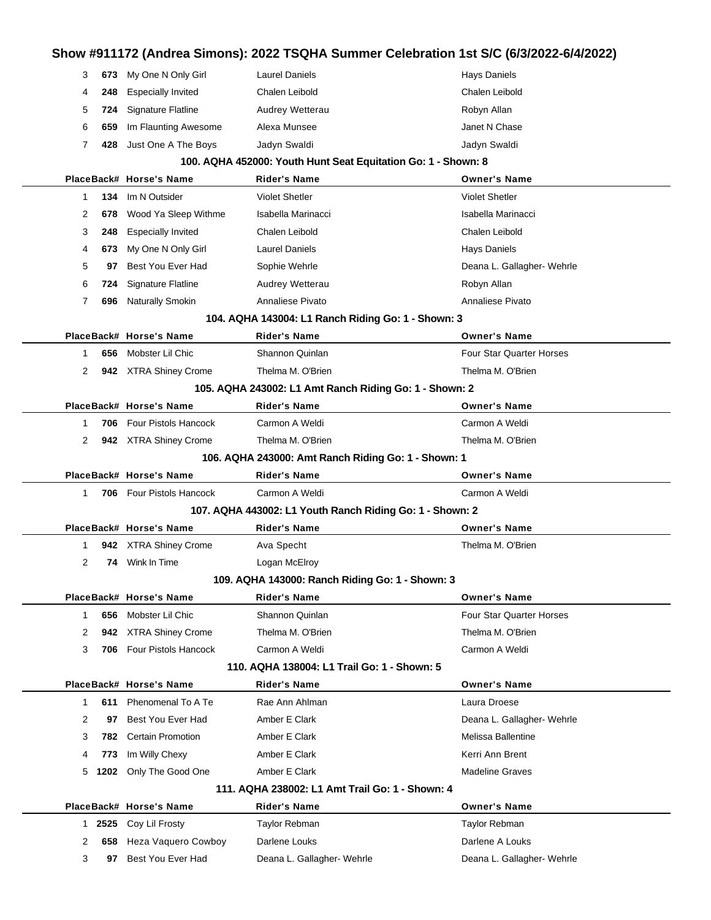| 3            | 673  | My One N Only Girl        | <b>Laurel Daniels</b>                                         | <b>Hays Daniels</b>             |
|--------------|------|---------------------------|---------------------------------------------------------------|---------------------------------|
| 4            | 248  | <b>Especially Invited</b> | Chalen Leibold                                                | Chalen Leibold                  |
| 5            | 724  | <b>Signature Flatline</b> | Audrey Wetterau                                               | Robyn Allan                     |
| 6            | 659  | Im Flaunting Awesome      | Alexa Munsee                                                  | Janet N Chase                   |
| 7            | 428  | Just One A The Boys       | Jadyn Swaldi                                                  | Jadyn Swaldi                    |
|              |      |                           | 100. AQHA 452000: Youth Hunt Seat Equitation Go: 1 - Shown: 8 |                                 |
|              |      | PlaceBack# Horse's Name   | <b>Rider's Name</b>                                           | <b>Owner's Name</b>             |
| 1            | 134  | Im N Outsider             | <b>Violet Shetler</b>                                         | <b>Violet Shetler</b>           |
| 2            | 678  | Wood Ya Sleep Withme      | Isabella Marinacci                                            | Isabella Marinacci              |
| 3            | 248  | <b>Especially Invited</b> | Chalen Leibold                                                | Chalen Leibold                  |
| 4            | 673  | My One N Only Girl        | Laurel Daniels                                                | <b>Hays Daniels</b>             |
| 5            | 97   | Best You Ever Had         | Sophie Wehrle                                                 | Deana L. Gallagher- Wehrle      |
| 6            | 724  | Signature Flatline        | Audrey Wetterau                                               | Robyn Allan                     |
| 7            | 696  | <b>Naturally Smokin</b>   | Annaliese Pivato                                              | Annaliese Pivato                |
|              |      |                           | 104. AQHA 143004: L1 Ranch Riding Go: 1 - Shown: 3            |                                 |
|              |      | PlaceBack# Horse's Name   | <b>Rider's Name</b>                                           | <b>Owner's Name</b>             |
| -1           | 656  | Mobster Lil Chic          | Shannon Quinlan                                               | <b>Four Star Quarter Horses</b> |
| 2            |      | 942 XTRA Shiney Crome     | Thelma M. O'Brien                                             | Thelma M. O'Brien               |
|              |      |                           | 105. AQHA 243002: L1 Amt Ranch Riding Go: 1 - Shown: 2        |                                 |
|              |      | PlaceBack# Horse's Name   | <b>Rider's Name</b>                                           | <b>Owner's Name</b>             |
| -1           | 706  | Four Pistols Hancock      | Carmon A Weldi                                                | Carmon A Weldi                  |
| 2            |      | 942 XTRA Shiney Crome     | Thelma M. O'Brien                                             | Thelma M. O'Brien               |
|              |      |                           | 106. AQHA 243000: Amt Ranch Riding Go: 1 - Shown: 1           |                                 |
|              |      | PlaceBack# Horse's Name   | Rider's Name                                                  | <b>Owner's Name</b>             |
| $\mathbf{1}$ | 706  | Four Pistols Hancock      | Carmon A Weldi                                                | Carmon A Weldi                  |
|              |      |                           | 107. AQHA 443002: L1 Youth Ranch Riding Go: 1 - Shown: 2      |                                 |
|              |      | PlaceBack# Horse's Name   | <b>Rider's Name</b>                                           | <b>Owner's Name</b>             |
| 1            |      | 942 XTRA Shiney Crome     | Ava Specht                                                    | Thelma M. O'Brien               |
| 2            | 74   | Wink In Time              | Logan McElroy                                                 |                                 |
|              |      |                           | 109. AQHA 143000: Ranch Riding Go: 1 - Shown: 3               |                                 |
|              |      | PlaceBack# Horse's Name   | <b>Rider's Name</b>                                           | <b>Owner's Name</b>             |
| $\mathbf{1}$ | 656  | Mobster Lil Chic          | Shannon Quinlan                                               | <b>Four Star Quarter Horses</b> |
| 2            | 942  | <b>XTRA Shiney Crome</b>  | Thelma M. O'Brien                                             | Thelma M. O'Brien               |
| 3            | 706  | Four Pistols Hancock      | Carmon A Weldi                                                | Carmon A Weldi                  |
|              |      |                           | 110. AQHA 138004: L1 Trail Go: 1 - Shown: 5                   |                                 |
|              |      | PlaceBack# Horse's Name   | <b>Rider's Name</b>                                           | <b>Owner's Name</b>             |
| 1            | 611  | Phenomenal To A Te        | Rae Ann Ahlman                                                | Laura Droese                    |
| 2            | 97   | Best You Ever Had         | Amber E Clark                                                 | Deana L. Gallagher- Wehrle      |
| 3            | 782  | <b>Certain Promotion</b>  | Amber E Clark                                                 | Melissa Ballentine              |
| 4            | 773  | Im Willy Chexy            | Amber E Clark                                                 | Kerri Ann Brent                 |
|              |      |                           |                                                               |                                 |
| 5            | 1202 | Only The Good One         | Amber E Clark                                                 | <b>Madeline Graves</b>          |
|              |      |                           | 111, AQHA 238002: L1 Amt Trail Go: 1 - Shown: 4               |                                 |
|              |      | PlaceBack# Horse's Name   | <b>Rider's Name</b>                                           | <b>Owner's Name</b>             |
| 1            | 2525 | Coy Lil Frosty            | Taylor Rebman                                                 | Taylor Rebman                   |
| 2            | 658  | Heza Vaquero Cowboy       | Darlene Louks                                                 | Darlene A Louks                 |
| 3            | 97   | Best You Ever Had         | Deana L. Gallagher- Wehrle                                    | Deana L. Gallagher- Wehrle      |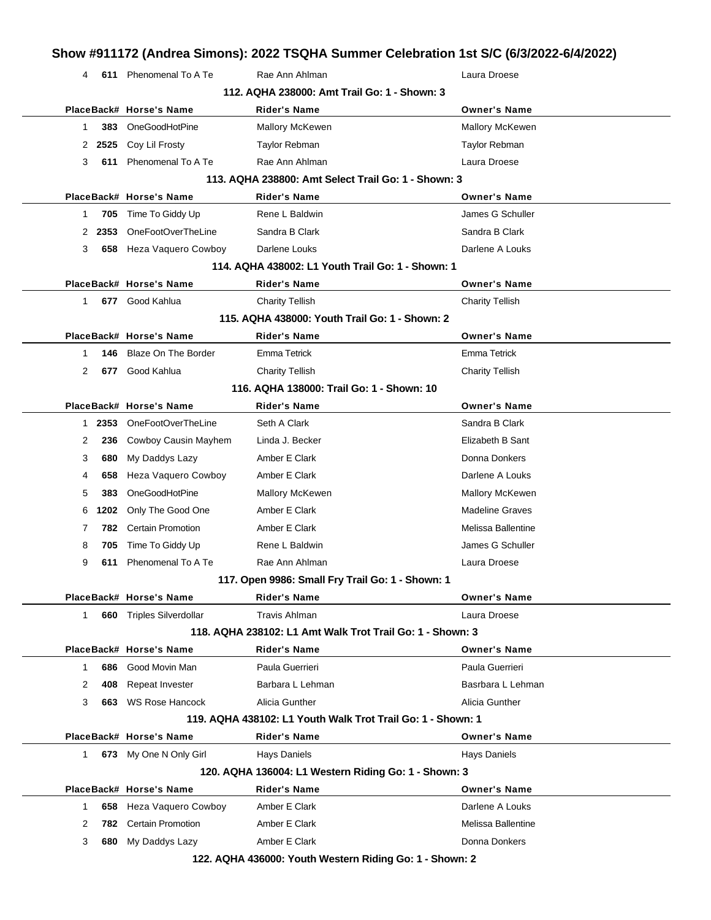### **Show #911172 (Andrea Simons): 2022 TSQHA Summer Celebration 1st S/C (6/3/2022-6/4/2022)** 4 **611** Phenomenal To A Te Rae Ann Ahlman **Rack Announce** Rae Announce Research Ray Laura Droese **112. AQHA 238000: Amt Trail Go: 1 - Shown: 3 PlaceBack# Horse's Name Rider's Name Owner's Name** 1 **383** OneGoodHotPine Mallory McKewen Mallory McKewen 2 **2525** Coy Lil Frosty **Taylor Rebman** Taylor Rebman Taylor Rebman 3 **611** Phenomenal To A Te Rae Ann Ahlman Laura Droese **113. AQHA 238800: Amt Select Trail Go: 1 - Shown: 3 PlaceBack# Horse's Name Rider's Name Owner's Name** 1 **705** Time To Giddy Up **Rene L Baldwin** Company Company Schuller 2 **2353** OneFootOverTheLine Sandra B Clark Sandra B Clark Sandra B Clark 3 **658** Heza Vaquero Cowboy Darlene Louks Darlene A Louks **114. AQHA 438002: L1 Youth Trail Go: 1 - Shown: 1 PlaceBack# Horse's Name Rider's Name Owner's Name** 1 **677** Good Kahlua Charity Tellish Charity Tellish **115. AQHA 438000: Youth Trail Go: 1 - Shown: 2 PlaceBack# Horse's Name Rider's Name Owner's Name** 1 **146** Blaze On The Border Emma Tetrick Emma Tetrick 2 **677** Good Kahlua Charity Tellish Charity Tellish **116. AQHA 138000: Trail Go: 1 - Shown: 10 PlaceBack# Horse's Name Rider's Name Owner's Name** 1 **2353** OneFootOverTheLine Seth A Clark Sandra B Clark Sandra B Clark 2 **236** Cowboy Causin Mayhem Linda J. Becker **Elizabeth B Sant** 3 **680** My Daddys Lazy **Amber E Clark Clark Donna Donkers** Donna Donkers 4 **658** Heza Vaquero Cowboy Amber E Clark **Darlene A Louks** Darlene A Louks 5 **383** OneGoodHotPine Mallory McKewen Mallory McKewen Mallory McKewen 6 **1202** Only The Good One Amber E Clark Madeline Graves 7 **782** Certain Promotion **Amber E Clark** Melissa Ballentine 8 **705** Time To Giddy Up **Rene L Baldwin** Rene 1 and Schuller 9 **611** Phenomenal To A Te Rae Ann Ahlman **Construction Construction Cause Cause Cause Cause Cause Cause Cause Cause Cause Cause Cause Cause Cause Cause Cause Cause Cause Cause Cause Cause Cause Cause Cause Cause Cause Cau 117. Open 9986: Small Fry Trail Go: 1 - Shown: 1 PlaceBack# Horse's Name Rider's Name Owner's Name** 1 **660** Triples Silverdollar Travis Ahlman Laura Droese **118. AQHA 238102: L1 Amt Walk Trot Trail Go: 1 - Shown: 3 PlaceBack# Horse's Name Rider's Name Owner's Name** 1 **686** Good Movin Man **Paula Guerrieri** Paula Guerrieri Paula Guerrieri Paula Guerrieri 2 **408** Repeat Invester **Barbara L Lehman** Basrbara L Lehman Basrbara L Lehman 3 **663** WS Rose Hancock Alicia Gunther **Alicia Gunther** Alicia Gunther **119. AQHA 438102: L1 Youth Walk Trot Trail Go: 1 - Shown: 1 PlaceBack# Horse's Name Rider's Name Owner's Name** 1 **673** My One N Only Girl Hays Daniels Hays Daniels Hays Daniels Hays Daniels **120. AQHA 136004: L1 Western Riding Go: 1 - Shown: 3 PlaceBack# Horse's Name Rider's Name Owner's Name** 1 **658** Heza Vaquero Cowboy Amber E Clark **Darlene A Louks** Darlene A Louks 2 **782** Certain Promotion **Amber E Clark** Melissa Ballentine 3 **680** My Daddys Lazy **Amber E Clark Communist Communist Clark** Donna Donkers

**122. AQHA 436000: Youth Western Riding Go: 1 - Shown: 2**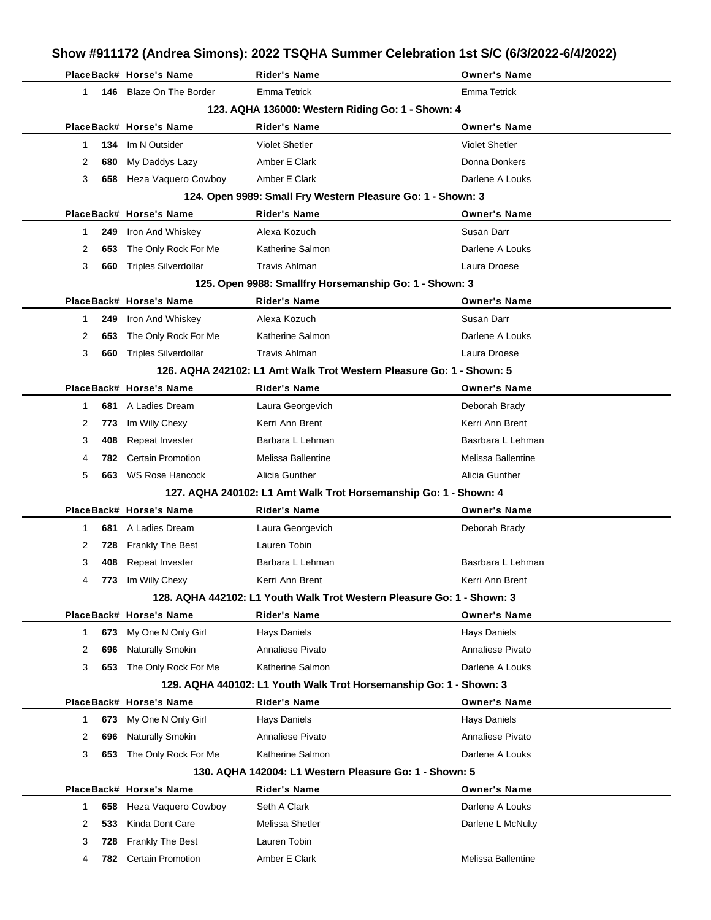| Show #911172 (Andrea Simons): 2022 TSQHA Summer Celebration 1st S/C (6/3/2022-6/4/2022) |     |                             |                                                                        |                       |  |  |  |
|-----------------------------------------------------------------------------------------|-----|-----------------------------|------------------------------------------------------------------------|-----------------------|--|--|--|
|                                                                                         |     | PlaceBack# Horse's Name     | <b>Rider's Name</b>                                                    | <b>Owner's Name</b>   |  |  |  |
| $\mathbf{1}$                                                                            |     | 146 Blaze On The Border     | <b>Emma Tetrick</b>                                                    | <b>Emma Tetrick</b>   |  |  |  |
| 123. AQHA 136000: Western Riding Go: 1 - Shown: 4                                       |     |                             |                                                                        |                       |  |  |  |
|                                                                                         |     | PlaceBack# Horse's Name     | <b>Rider's Name</b>                                                    | <b>Owner's Name</b>   |  |  |  |
| 1                                                                                       | 134 | Im N Outsider               | <b>Violet Shetler</b>                                                  | <b>Violet Shetler</b> |  |  |  |
| 2                                                                                       | 680 | My Daddys Lazy              | Amber E Clark                                                          | Donna Donkers         |  |  |  |
| 3                                                                                       |     | 658 Heza Vaquero Cowboy     | Amber E Clark                                                          | Darlene A Louks       |  |  |  |
|                                                                                         |     |                             | 124. Open 9989: Small Fry Western Pleasure Go: 1 - Shown: 3            |                       |  |  |  |
|                                                                                         |     | PlaceBack# Horse's Name     | <b>Rider's Name</b>                                                    | <b>Owner's Name</b>   |  |  |  |
| 1                                                                                       | 249 | Iron And Whiskey            | Alexa Kozuch                                                           | Susan Darr            |  |  |  |
| 2                                                                                       | 653 | The Only Rock For Me        | Katherine Salmon                                                       | Darlene A Louks       |  |  |  |
| 3                                                                                       | 660 | <b>Triples Silverdollar</b> | <b>Travis Ahlman</b>                                                   | Laura Droese          |  |  |  |
|                                                                                         |     |                             | 125. Open 9988: Smallfry Horsemanship Go: 1 - Shown: 3                 |                       |  |  |  |
|                                                                                         |     | PlaceBack# Horse's Name     | <b>Rider's Name</b>                                                    | <b>Owner's Name</b>   |  |  |  |
| 1                                                                                       | 249 | Iron And Whiskey            | Alexa Kozuch                                                           | Susan Darr            |  |  |  |
| 2                                                                                       | 653 | The Only Rock For Me        | Katherine Salmon                                                       | Darlene A Louks       |  |  |  |
| 3                                                                                       | 660 | <b>Triples Silverdollar</b> | <b>Travis Ahlman</b>                                                   | Laura Droese          |  |  |  |
|                                                                                         |     |                             | 126. AQHA 242102: L1 Amt Walk Trot Western Pleasure Go: 1 - Shown: 5   |                       |  |  |  |
|                                                                                         |     | PlaceBack# Horse's Name     | Rider's Name                                                           | <b>Owner's Name</b>   |  |  |  |
| 1                                                                                       | 681 | A Ladies Dream              | Laura Georgevich                                                       | Deborah Brady         |  |  |  |
| 2                                                                                       | 773 | Im Willy Chexy              | Kerri Ann Brent                                                        | Kerri Ann Brent       |  |  |  |
| 3                                                                                       | 408 | Repeat Invester             | Barbara L Lehman                                                       | Basrbara L Lehman     |  |  |  |
| 4                                                                                       | 782 | <b>Certain Promotion</b>    | Melissa Ballentine                                                     | Melissa Ballentine    |  |  |  |
| 5                                                                                       | 663 | <b>WS Rose Hancock</b>      | Alicia Gunther                                                         | Alicia Gunther        |  |  |  |
|                                                                                         |     |                             | 127. AQHA 240102: L1 Amt Walk Trot Horsemanship Go: 1 - Shown: 4       |                       |  |  |  |
|                                                                                         |     | PlaceBack# Horse's Name     | <b>Rider's Name</b>                                                    | <b>Owner's Name</b>   |  |  |  |
| 1                                                                                       | 681 | A Ladies Dream              | Laura Georgevich                                                       | Deborah Brady         |  |  |  |
| 2                                                                                       | 728 | <b>Frankly The Best</b>     | Lauren Tobin                                                           |                       |  |  |  |
| 3                                                                                       | 408 | <b>Repeat Invester</b>      | Barbara L Lehman                                                       | Basrbara L Lehman     |  |  |  |
| 4                                                                                       | 773 | Im Willy Chexy              | Kerri Ann Brent                                                        | Kerri Ann Brent       |  |  |  |
|                                                                                         |     |                             | 128. AQHA 442102: L1 Youth Walk Trot Western Pleasure Go: 1 - Shown: 3 |                       |  |  |  |
|                                                                                         |     | PlaceBack# Horse's Name     | <b>Rider's Name</b>                                                    | <b>Owner's Name</b>   |  |  |  |
| 1                                                                                       | 673 | My One N Only Girl          | Hays Daniels                                                           | <b>Hays Daniels</b>   |  |  |  |
| 2                                                                                       | 696 | Naturally Smokin            | Annaliese Pivato                                                       | Annaliese Pivato      |  |  |  |
| 3                                                                                       | 653 | The Only Rock For Me        | Katherine Salmon                                                       | Darlene A Louks       |  |  |  |
|                                                                                         |     |                             | 129. AQHA 440102: L1 Youth Walk Trot Horsemanship Go: 1 - Shown: 3     |                       |  |  |  |
|                                                                                         |     | PlaceBack# Horse's Name     | <b>Rider's Name</b>                                                    | <b>Owner's Name</b>   |  |  |  |
| $\mathbf{1}$                                                                            | 673 | My One N Only Girl          | <b>Hays Daniels</b>                                                    | <b>Hays Daniels</b>   |  |  |  |
| 2                                                                                       | 696 | Naturally Smokin            | Annaliese Pivato                                                       | Annaliese Pivato      |  |  |  |
| 3                                                                                       | 653 | The Only Rock For Me        | Katherine Salmon                                                       | Darlene A Louks       |  |  |  |
|                                                                                         |     |                             | 130. AQHA 142004: L1 Western Pleasure Go: 1 - Shown: 5                 |                       |  |  |  |
|                                                                                         |     | PlaceBack# Horse's Name     | <b>Rider's Name</b>                                                    | <b>Owner's Name</b>   |  |  |  |
| 1                                                                                       | 658 | Heza Vaquero Cowboy         | Seth A Clark                                                           | Darlene A Louks       |  |  |  |
| 2                                                                                       | 533 | Kinda Dont Care             | Melissa Shetler                                                        | Darlene L McNulty     |  |  |  |
| 3                                                                                       | 728 | Frankly The Best            | Lauren Tobin                                                           |                       |  |  |  |
| 4                                                                                       | 782 | <b>Certain Promotion</b>    | Amber E Clark                                                          | Melissa Ballentine    |  |  |  |

l,

l,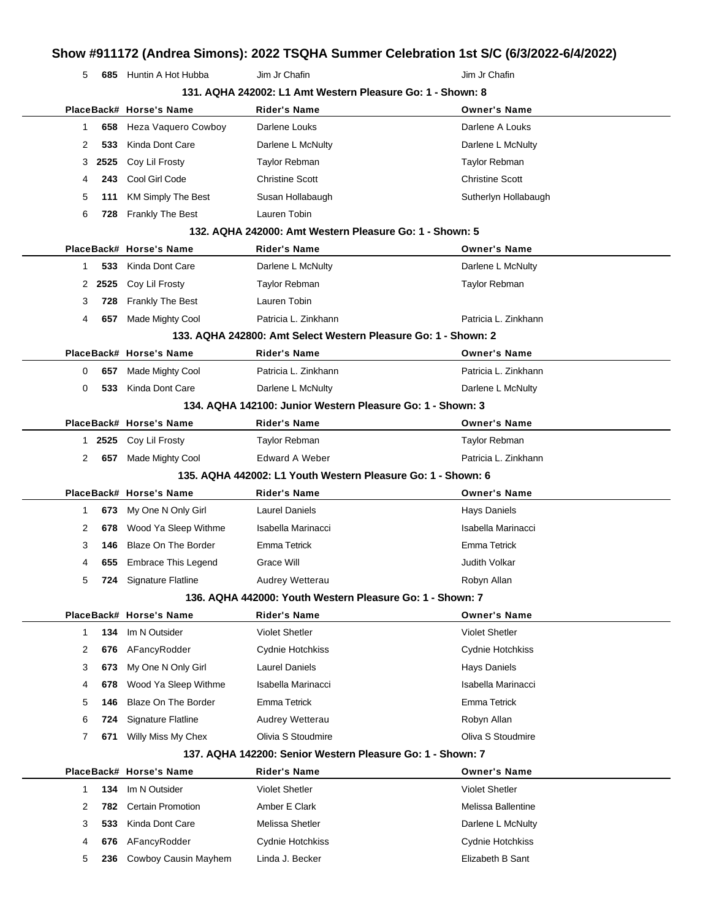**685** Huntin A Hot Hubba Jim Jr Chafin Jim Jr Chafin Jim Jr Chafin

|              | 131. AQHA 242002: L1 Amt Western Pleasure Go: 1 - Shown: 8 |                            |                                                                |                        |  |
|--------------|------------------------------------------------------------|----------------------------|----------------------------------------------------------------|------------------------|--|
|              |                                                            | PlaceBack# Horse's Name    | <b>Rider's Name</b>                                            | <b>Owner's Name</b>    |  |
| 1            | 658                                                        | Heza Vaquero Cowboy        | Darlene Louks                                                  | Darlene A Louks        |  |
| 2            | 533                                                        | Kinda Dont Care            | Darlene L McNulty                                              | Darlene L McNulty      |  |
| 3            | 2525                                                       | Coy Lil Frosty             | Taylor Rebman                                                  | <b>Taylor Rebman</b>   |  |
| 4            | 243                                                        | Cool Girl Code             | <b>Christine Scott</b>                                         | <b>Christine Scott</b> |  |
| 5            | 111                                                        | <b>KM Simply The Best</b>  | Susan Hollabaugh                                               | Sutherlyn Hollabaugh   |  |
| 6            | 728                                                        | <b>Frankly The Best</b>    | Lauren Tobin                                                   |                        |  |
|              |                                                            |                            | 132. AQHA 242000: Amt Western Pleasure Go: 1 - Shown: 5        |                        |  |
|              |                                                            | PlaceBack# Horse's Name    | <b>Rider's Name</b>                                            | <b>Owner's Name</b>    |  |
| 1            | 533                                                        | Kinda Dont Care            | Darlene L McNulty                                              | Darlene L McNulty      |  |
| 2            | 2525                                                       | Coy Lil Frosty             | <b>Taylor Rebman</b>                                           | Taylor Rebman          |  |
| 3            | 728                                                        | <b>Frankly The Best</b>    | Lauren Tobin                                                   |                        |  |
| 4            | 657                                                        | Made Mighty Cool           | Patricia L. Zinkhann                                           | Patricia L. Zinkhann   |  |
|              |                                                            |                            | 133. AQHA 242800: Amt Select Western Pleasure Go: 1 - Shown: 2 |                        |  |
|              |                                                            | PlaceBack# Horse's Name    | <b>Rider's Name</b>                                            | <b>Owner's Name</b>    |  |
| 0            | 657                                                        | Made Mighty Cool           | Patricia L. Zinkhann                                           | Patricia L. Zinkhann   |  |
| 0            | 533                                                        | Kinda Dont Care            | Darlene L McNulty                                              | Darlene L McNulty      |  |
|              |                                                            |                            | 134. AQHA 142100: Junior Western Pleasure Go: 1 - Shown: 3     |                        |  |
|              |                                                            | PlaceBack# Horse's Name    | <b>Rider's Name</b>                                            | <b>Owner's Name</b>    |  |
|              | 1 2525                                                     | Coy Lil Frosty             | Taylor Rebman                                                  | <b>Taylor Rebman</b>   |  |
| 2            | 657                                                        | Made Mighty Cool           | <b>Edward A Weber</b>                                          | Patricia L. Zinkhann   |  |
|              |                                                            |                            | 135. AQHA 442002: L1 Youth Western Pleasure Go: 1 - Shown: 6   |                        |  |
|              |                                                            | PlaceBack# Horse's Name    | <b>Rider's Name</b>                                            | <b>Owner's Name</b>    |  |
| 1            | 673                                                        | My One N Only Girl         | <b>Laurel Daniels</b>                                          | <b>Hays Daniels</b>    |  |
| 2            | 678                                                        | Wood Ya Sleep Withme       | Isabella Marinacci                                             | Isabella Marinacci     |  |
| 3            | 146                                                        | <b>Blaze On The Border</b> | <b>Emma Tetrick</b>                                            | <b>Emma Tetrick</b>    |  |
| 4            | 655                                                        | <b>Embrace This Legend</b> | Grace Will                                                     | <b>Judith Volkar</b>   |  |
| 5            | 724                                                        | <b>Signature Flatline</b>  | Audrey Wetterau                                                | Robyn Allan            |  |
|              |                                                            |                            | 136. AQHA 442000: Youth Western Pleasure Go: 1 - Shown: 7      |                        |  |
|              |                                                            | PlaceBack# Horse's Name    | <b>Rider's Name</b>                                            | <b>Owner's Name</b>    |  |
| $\mathbf{1}$ | 134                                                        | Im N Outsider              | <b>Violet Shetler</b>                                          | <b>Violet Shetler</b>  |  |
| 2            | 676                                                        | AFancyRodder               | Cydnie Hotchkiss                                               | Cydnie Hotchkiss       |  |
| 3            | 673                                                        | My One N Only Girl         | <b>Laurel Daniels</b>                                          | Hays Daniels           |  |
| 4            | 678                                                        | Wood Ya Sleep Withme       | Isabella Marinacci                                             | Isabella Marinacci     |  |
| 5            | 146                                                        | Blaze On The Border        | Emma Tetrick                                                   | Emma Tetrick           |  |
| 6            | 724                                                        | Signature Flatline         | Audrey Wetterau                                                | Robyn Allan            |  |
| 7            | 671                                                        | Willy Miss My Chex         | Olivia S Stoudmire                                             | Oliva S Stoudmire      |  |
|              |                                                            |                            | 137. AQHA 142200: Senior Western Pleasure Go: 1 - Shown: 7     |                        |  |
|              |                                                            | PlaceBack# Horse's Name    | <b>Rider's Name</b>                                            | <b>Owner's Name</b>    |  |
| 1            | 134                                                        | Im N Outsider              | <b>Violet Shetler</b>                                          | <b>Violet Shetler</b>  |  |
| 2            | 782                                                        | <b>Certain Promotion</b>   | Amber E Clark                                                  | Melissa Ballentine     |  |
| 3            | 533                                                        | Kinda Dont Care            | Melissa Shetler                                                | Darlene L McNulty      |  |
| 4            | 676                                                        | AFancyRodder               | <b>Cydnie Hotchkiss</b>                                        | Cydnie Hotchkiss       |  |
| 5            | 236                                                        | Cowboy Causin Mayhem       | Linda J. Becker                                                | Elizabeth B Sant       |  |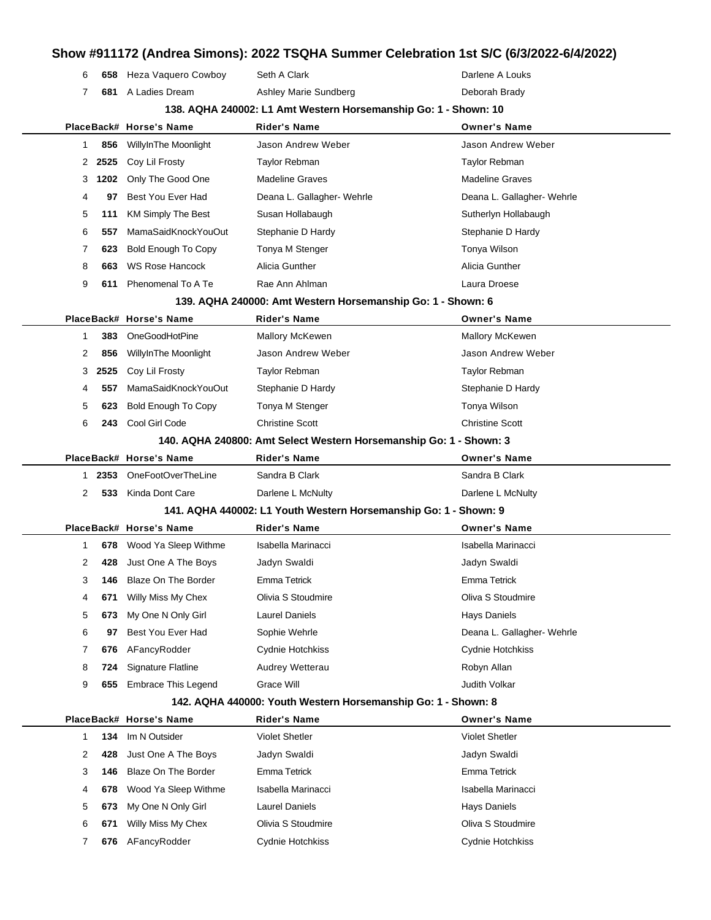### **Show #911172 (Andrea Simons): 2022 TSQHA Summer Celebration 1st S/C (6/3/2022-6/4/2022)** 6 658 Heza Vaquero Cowboy Seth A Clark **Darlene A Louks** Darlene A Louks **681** A Ladies Dream **Ashley Marie Sundberg Communist Contains Ashley Marie Sundberg Deborah Brady 138. AQHA 240002: L1 Amt Western Horsemanship Go: 1 - Shown: 10 PlaceBack# Horse's Name Rider's Name Owner's Name 856** WillyInThe Moonlight Jason Andrew Weber Jason Andrew Weber **2525** Coy Lil Frosty **Taylor Rebman** Taylor Rebman Taylor Rebman Taylor Rebman **1202** Only The Good One Madeline Graves Madeline Graves Madeline Graves **97** Best You Ever Had Deana L. Gallagher- Wehrle Deana L. Gallagher- Wehrle **111** KM Simply The Best Susan Hollabaugh Sutherlyn Hollabaugh Sutherlyn Hollabaugh **557** MamaSaidKnockYouOut Stephanie D Hardy Stephanie D Hardy Stephanie D Hardy **623** Bold Enough To Copy Tonya M Stenger Tonya Tonya Wilson **663** WS Rose Hancock Alicia Gunther **Alicia Gunther** Alicia Gunther **611** Phenomenal To A Te Rae Ann Ahlman Laura Droese Rae Ann Ahlman Laura Droese **139. AQHA 240000: Amt Western Horsemanship Go: 1 - Shown: 6 PlaceBack# Horse's Name Rider's Name Owner's Name 383** OneGoodHotPine Mallory McKewen Mallory McKewen Mallory McKewen **856** WillyInThe Moonlight Jason Andrew Weber Jason Andrew Weber **2525** Coy Lil Frosty Taylor Rebman Taylor Rebman **557** MamaSaidKnockYouOut Stephanie D Hardy Stephanie Stephanie D Hardy **623** Bold Enough To Copy Tonya M Stenger Tonya Wilson **243** Cool Girl Code Christine Scott Christine Scott **140. AQHA 240800: Amt Select Western Horsemanship Go: 1 - Shown: 3 PlaceBack# Horse's Name Rider's Name Owner's Name 2353** OneFootOverTheLine Sandra B Clark Sandra B Clark Sandra B Clark **533** Kinda Dont Care **Darlene L McNulty** Darlene L McNulty Darlene L McNulty **141. AQHA 440002: L1 Youth Western Horsemanship Go: 1 - Shown: 9 PlaceBack# Horse's Name Rider's Name Owner's Name 678** Wood Ya Sleep Withme Isabella Marinacci **Isabella Marinacci** Isabella Marinacci **428** Just One A The Boys Jadyn Swaldi Jadyn Swaldi **146** Blaze On The Border Emma Tetrick Emma Tetrick **671** Willy Miss My Chex Olivia S Stoudmire Oliva S Stoudmire **673** My One N Only Girl Laurel Daniels **Hays Daniels** Hays Daniels 6 97 Best You Ever Had Sophie Wehrle **Communist Communist Communist Communist Communist Communist Communist Communist Communist Communist Communist Communist Communist Communist Communist Communist Communist Communist Comm 676** AFancyRodder Cydnie Hotchkiss Cydnie Hotchkiss

#### **142. AQHA 440000: Youth Western Horsemanship Go: 1 - Shown: 8**

**724** Signature Flatline **Audrey Wetterau Audrey Wetterau Robyn Allan 655** Embrace This Legend Grace Will Gramman Crace Will Service And Sudith Volkar

|   |     | PlaceBack# Horse's Name | <b>Rider's Name</b>   | <b>Owner's Name</b>     |  |
|---|-----|-------------------------|-----------------------|-------------------------|--|
|   | 134 | Im N Outsider           | <b>Violet Shetler</b> | <b>Violet Shetler</b>   |  |
| 2 | 428 | Just One A The Boys     | Jadyn Swaldi          | Jadyn Swaldi            |  |
| 3 | 146 | Blaze On The Border     | Emma Tetrick          | Emma Tetrick            |  |
| 4 | 678 | Wood Ya Sleep Withme    | Isabella Marinacci    | Isabella Marinacci      |  |
| 5 | 673 | My One N Only Girl      | Laurel Daniels        | Hays Daniels            |  |
| 6 | 671 | Willy Miss My Chex      | Olivia S Stoudmire    | Oliva S Stoudmire       |  |
|   | 676 | AFancyRodder            | Cydnie Hotchkiss      | <b>Cydnie Hotchkiss</b> |  |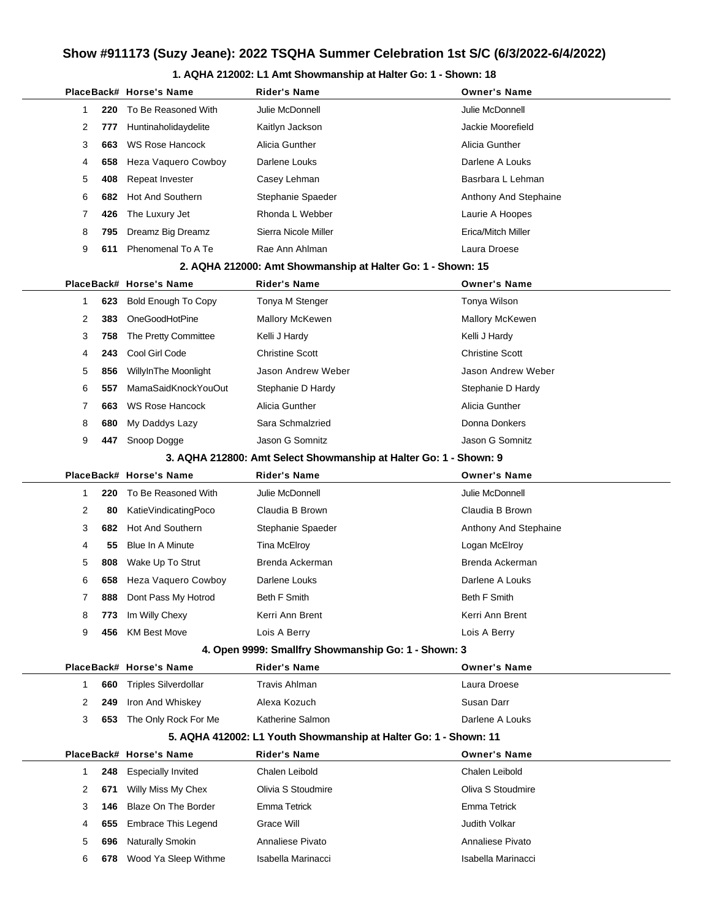#### **1. AQHA 212002: L1 Amt Showmanship at Halter Go: 1 - Shown: 18**

|   |     | PlaceBack# Horse's Name                             | <b>Rider's Name</b>                                               | <b>Owner's Name</b>    |
|---|-----|-----------------------------------------------------|-------------------------------------------------------------------|------------------------|
| 1 | 220 | To Be Reasoned With                                 | Julie McDonnell                                                   | Julie McDonnell        |
| 2 | 777 | Huntinaholidaydelite                                | Kaitlyn Jackson                                                   | Jackie Moorefield      |
| 3 | 663 | <b>WS Rose Hancock</b>                              | Alicia Gunther                                                    | Alicia Gunther         |
| 4 | 658 | Heza Vaquero Cowboy                                 | Darlene Louks                                                     | Darlene A Louks        |
| 5 | 408 | Repeat Invester                                     | Casey Lehman                                                      | Basrbara L Lehman      |
| 6 | 682 | <b>Hot And Southern</b>                             | Stephanie Spaeder                                                 | Anthony And Stephaine  |
| 7 | 426 | The Luxury Jet                                      | Rhonda L Webber                                                   | Laurie A Hoopes        |
| 8 | 795 | Dreamz Big Dreamz                                   | Sierra Nicole Miller                                              | Erica/Mitch Miller     |
| 9 | 611 | Phenomenal To A Te                                  | Rae Ann Ahlman                                                    | Laura Droese           |
|   |     |                                                     | 2. AQHA 212000: Amt Showmanship at Halter Go: 1 - Shown: 15       |                        |
|   |     | PlaceBack# Horse's Name                             | <b>Rider's Name</b>                                               | <b>Owner's Name</b>    |
| 1 | 623 | <b>Bold Enough To Copy</b>                          | Tonya M Stenger                                                   | Tonya Wilson           |
| 2 | 383 | OneGoodHotPine                                      | <b>Mallory McKewen</b>                                            | <b>Mallory McKewen</b> |
| 3 | 758 | The Pretty Committee                                | Kelli J Hardy                                                     | Kelli J Hardy          |
| 4 | 243 | Cool Girl Code                                      | <b>Christine Scott</b>                                            | <b>Christine Scott</b> |
| 5 | 856 | WillyInThe Moonlight                                | Jason Andrew Weber                                                | Jason Andrew Weber     |
| 6 | 557 | MamaSaidKnockYouOut                                 | Stephanie D Hardy                                                 | Stephanie D Hardy      |
| 7 | 663 | <b>WS Rose Hancock</b>                              | Alicia Gunther                                                    | Alicia Gunther         |
| 8 | 680 | My Daddys Lazy                                      | Sara Schmalzried                                                  | Donna Donkers          |
| 9 | 447 | Snoop Dogge                                         | Jason G Somnitz                                                   | Jason G Somnitz        |
|   |     |                                                     | 3. AQHA 212800: Amt Select Showmanship at Halter Go: 1 - Shown: 9 |                        |
|   |     | PlaceBack# Horse's Name                             | <b>Rider's Name</b>                                               | <b>Owner's Name</b>    |
| 1 | 220 | To Be Reasoned With                                 | Julie McDonnell                                                   | Julie McDonnell        |
| 2 | 80  | KatieVindicatingPoco                                | Claudia B Brown                                                   | Claudia B Brown        |
| 3 | 682 | Hot And Southern                                    | Stephanie Spaeder                                                 | Anthony And Stephaine  |
| 4 | 55  | Blue In A Minute                                    | Tina McElroy                                                      | Logan McElroy          |
| 5 | 808 | Wake Up To Strut                                    | Brenda Ackerman                                                   | Brenda Ackerman        |
| 6 | 658 | Heza Vaquero Cowboy                                 | Darlene Louks                                                     | Darlene A Louks        |
| 7 | 888 | Dont Pass My Hotrod                                 | Beth F Smith                                                      | <b>Beth F Smith</b>    |
| 8 | 773 | Im Willy Chexy                                      | Kerri Ann Brent                                                   | Kerri Ann Brent        |
| 9 | 456 | <b>KM Best Move</b>                                 | Lois A Berry                                                      | Lois A Berry           |
|   |     | 4. Open 9999: Smallfry Showmanship Go: 1 - Shown: 3 |                                                                   |                        |
|   |     | PlaceBack# Horse's Name                             | <b>Rider's Name</b>                                               | <b>Owner's Name</b>    |
| 1 | 660 | <b>Triples Silverdollar</b>                         | <b>Travis Ahlman</b>                                              | Laura Droese           |
| 2 | 249 | Iron And Whiskey                                    | Alexa Kozuch                                                      | Susan Darr             |
| 3 | 653 | The Only Rock For Me                                | Katherine Salmon                                                  | Darlene A Louks        |
|   |     |                                                     | 5. AQHA 412002: L1 Youth Showmanship at Halter Go: 1 - Shown: 11  |                        |
|   |     | PlaceBack# Horse's Name                             | <b>Rider's Name</b>                                               | <b>Owner's Name</b>    |
| 1 | 248 | <b>Especially Invited</b>                           | Chalen Leibold                                                    | Chalen Leibold         |
| 2 | 671 | Willy Miss My Chex                                  | Olivia S Stoudmire                                                | Oliva S Stoudmire      |
| 3 | 146 | <b>Blaze On The Border</b>                          | Emma Tetrick                                                      | Emma Tetrick           |
| 4 | 655 | <b>Embrace This Legend</b>                          | Grace Will                                                        | Judith Volkar          |
| 5 | 696 | <b>Naturally Smokin</b>                             | Annaliese Pivato                                                  | Annaliese Pivato       |
| 6 | 678 | Wood Ya Sleep Withme                                | Isabella Marinacci                                                | Isabella Marinacci     |
|   |     |                                                     |                                                                   |                        |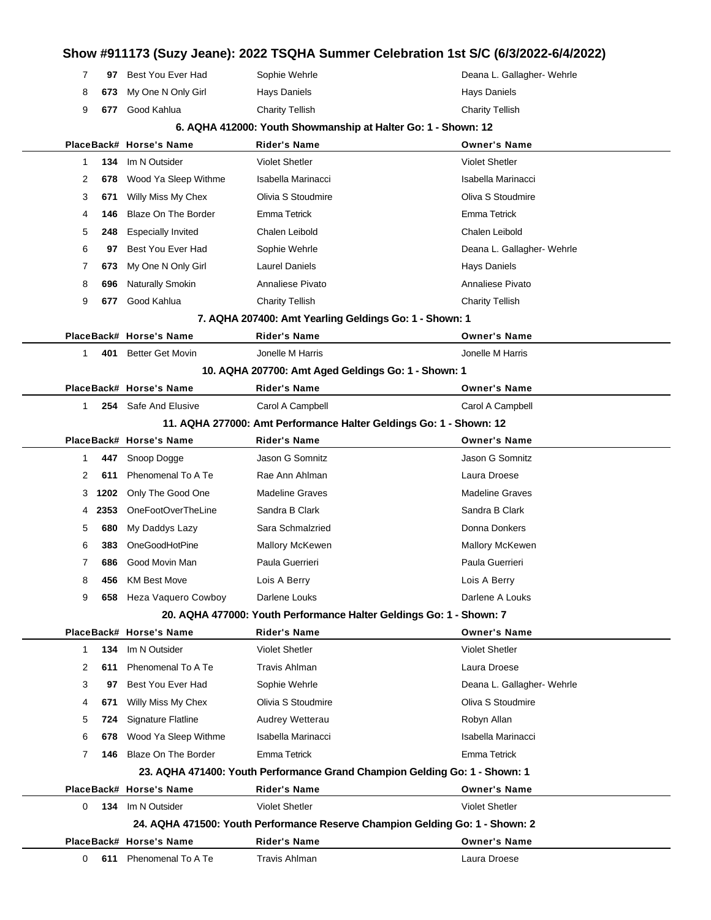|       | 97 Best You Ever Had     | Sophie Wehrle          | Deana L. Gallagher- Wehrle |
|-------|--------------------------|------------------------|----------------------------|
|       | 8 673 My One N Only Girl | Hays Daniels           | Havs Daniels               |
| 9 677 | Good Kahlua              | <b>Charity Tellish</b> | <b>Charity Tellish</b>     |

#### **6. AQHA 412000: Youth Showmanship at Halter Go: 1 - Shown: 12**

|              |      | PlaceBack# Horse's Name    | <b>Rider's Name</b>                                                          | <b>Owner's Name</b>        |  |
|--------------|------|----------------------------|------------------------------------------------------------------------------|----------------------------|--|
| 1            | 134  | Im N Outsider              | <b>Violet Shetler</b>                                                        | <b>Violet Shetler</b>      |  |
| 2            | 678  | Wood Ya Sleep Withme       | Isabella Marinacci                                                           | Isabella Marinacci         |  |
| 3            | 671  | Willy Miss My Chex         | Olivia S Stoudmire                                                           | Oliva S Stoudmire          |  |
| 4            | 146  | <b>Blaze On The Border</b> | Emma Tetrick                                                                 | <b>Emma Tetrick</b>        |  |
| 5            | 248  | <b>Especially Invited</b>  | Chalen Leibold                                                               | Chalen Leibold             |  |
| 6            | 97   | Best You Ever Had          | Sophie Wehrle                                                                | Deana L. Gallagher- Wehrle |  |
| 7            | 673  | My One N Only Girl         | <b>Laurel Daniels</b>                                                        | <b>Hays Daniels</b>        |  |
| 8            | 696  | Naturally Smokin           | Annaliese Pivato                                                             | Annaliese Pivato           |  |
| 9            | 677  | Good Kahlua                | <b>Charity Tellish</b>                                                       | <b>Charity Tellish</b>     |  |
|              |      |                            | 7. AQHA 207400: Amt Yearling Geldings Go: 1 - Shown: 1                       |                            |  |
|              |      | PlaceBack# Horse's Name    | <b>Rider's Name</b>                                                          | <b>Owner's Name</b>        |  |
| 1.           | 401  | <b>Better Get Movin</b>    | Jonelle M Harris                                                             | Jonelle M Harris           |  |
|              |      |                            | 10. AQHA 207700: Amt Aged Geldings Go: 1 - Shown: 1                          |                            |  |
|              |      | PlaceBack# Horse's Name    | <b>Rider's Name</b>                                                          | <b>Owner's Name</b>        |  |
| $\mathbf{1}$ |      | 254 Safe And Elusive       | Carol A Campbell                                                             | Carol A Campbell           |  |
|              |      |                            | 11. AQHA 277000: Amt Performance Halter Geldings Go: 1 - Shown: 12           |                            |  |
|              |      | PlaceBack# Horse's Name    | Rider's Name                                                                 | <b>Owner's Name</b>        |  |
| 1            | 447  | Snoop Dogge                | Jason G Somnitz                                                              | Jason G Somnitz            |  |
| 2            | 611  | Phenomenal To A Te         | Rae Ann Ahlman                                                               | Laura Droese               |  |
| 3            | 1202 | Only The Good One          | <b>Madeline Graves</b>                                                       | <b>Madeline Graves</b>     |  |
| 4            | 2353 | OneFootOverTheLine         | Sandra B Clark                                                               | Sandra B Clark             |  |
| 5            | 680  | My Daddys Lazy             | Sara Schmalzried                                                             | Donna Donkers              |  |
| 6            | 383  | OneGoodHotPine             | <b>Mallory McKewen</b>                                                       | <b>Mallory McKewen</b>     |  |
| 7            | 686  | Good Movin Man             | Paula Guerrieri                                                              | Paula Guerrieri            |  |
| 8            | 456  | <b>KM Best Move</b>        | Lois A Berry                                                                 | Lois A Berry               |  |
| 9            | 658  | Heza Vaquero Cowboy        | Darlene Louks                                                                | Darlene A Louks            |  |
|              |      |                            | 20. AQHA 477000: Youth Performance Halter Geldings Go: 1 - Shown: 7          |                            |  |
|              |      | PlaceBack# Horse's Name    | <b>Rider's Name</b>                                                          | <b>Owner's Name</b>        |  |
| 1            |      | 134 Im N Outsider          | <b>Violet Shetler</b>                                                        | <b>Violet Shetler</b>      |  |
| 2            | 611  | Phenomenal To A Te         | <b>Travis Ahlman</b>                                                         | Laura Droese               |  |
| 3            | 97   | Best You Ever Had          | Sophie Wehrle                                                                | Deana L. Gallagher- Wehrle |  |
| 4            | 671  | Willy Miss My Chex         | Olivia S Stoudmire                                                           | Oliva S Stoudmire          |  |
| 5            | 724  | Signature Flatline         | Audrey Wetterau                                                              | Robyn Allan                |  |
| 6            | 678  | Wood Ya Sleep Withme       | Isabella Marinacci                                                           | Isabella Marinacci         |  |
| 7            | 146  | <b>Blaze On The Border</b> | Emma Tetrick                                                                 | Emma Tetrick               |  |
|              |      |                            | 23. AQHA 471400: Youth Performance Grand Champion Gelding Go: 1 - Shown: 1   |                            |  |
|              |      | PlaceBack# Horse's Name    | <b>Rider's Name</b>                                                          | <b>Owner's Name</b>        |  |
| 0            | 134  | Im N Outsider              | <b>Violet Shetler</b>                                                        | <b>Violet Shetler</b>      |  |
|              |      |                            | 24. AQHA 471500: Youth Performance Reserve Champion Gelding Go: 1 - Shown: 2 |                            |  |
|              |      | PlaceBack# Horse's Name    | <b>Rider's Name</b>                                                          | <b>Owner's Name</b>        |  |
| 0            | 611  | Phenomenal To A Te         | <b>Travis Ahlman</b>                                                         | Laura Droese               |  |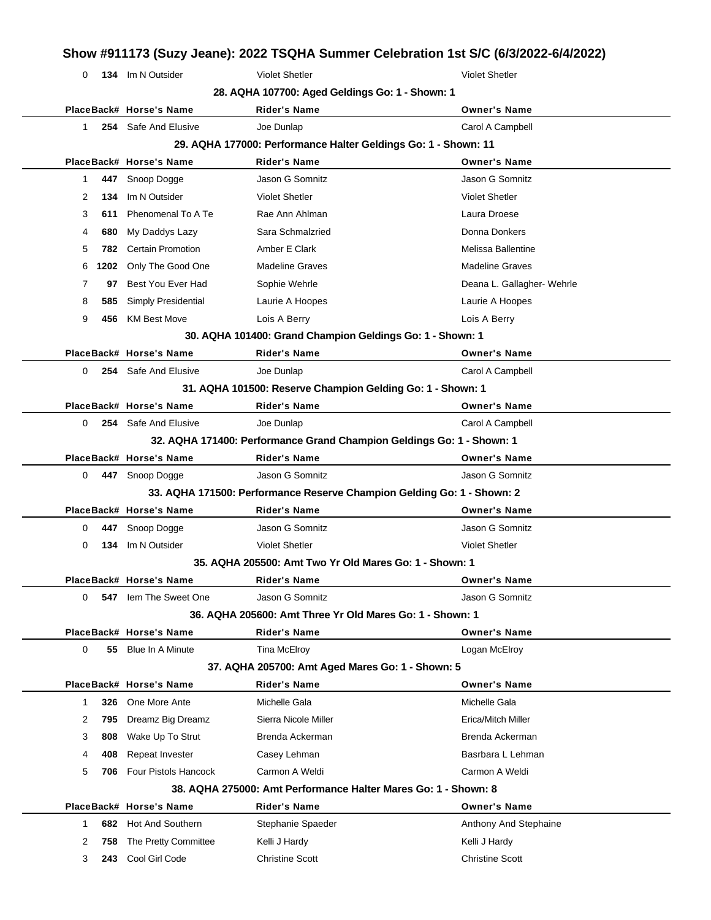| 0            |      | 134 Im N Outsider            | <b>Violet Shetler</b>                                                  | <b>Violet Shetler</b>      |
|--------------|------|------------------------------|------------------------------------------------------------------------|----------------------------|
|              |      |                              | 28. AQHA 107700: Aged Geldings Go: 1 - Shown: 1                        |                            |
|              |      | PlaceBack# Horse's Name      | <b>Rider's Name</b>                                                    | <b>Owner's Name</b>        |
| $\mathbf{1}$ |      | 254 Safe And Elusive         | Joe Dunlap                                                             | Carol A Campbell           |
|              |      |                              | 29. AQHA 177000: Performance Halter Geldings Go: 1 - Shown: 11         |                            |
|              |      | PlaceBack# Horse's Name      | <b>Rider's Name</b>                                                    | <b>Owner's Name</b>        |
| 1            |      | 447 Snoop Dogge              | Jason G Somnitz                                                        | Jason G Somnitz            |
| 2            | 134  | Im N Outsider                | <b>Violet Shetler</b>                                                  | <b>Violet Shetler</b>      |
| 3            | 611  | Phenomenal To A Te           | Rae Ann Ahlman                                                         | Laura Droese               |
| 4            | 680  | My Daddys Lazy               | Sara Schmalzried                                                       | Donna Donkers              |
| 5            | 782  | <b>Certain Promotion</b>     | Amber E Clark                                                          | Melissa Ballentine         |
| 6            | 1202 | Only The Good One            | <b>Madeline Graves</b>                                                 | <b>Madeline Graves</b>     |
| 7            | 97   | Best You Ever Had            | Sophie Wehrle                                                          | Deana L. Gallagher- Wehrle |
| 8            | 585  | Simply Presidential          | Laurie A Hoopes                                                        | Laurie A Hoopes            |
| 9            | 456  | <b>KM Best Move</b>          | Lois A Berry                                                           | Lois A Berry               |
|              |      |                              | 30. AQHA 101400: Grand Champion Geldings Go: 1 - Shown: 1              |                            |
|              |      | PlaceBack# Horse's Name      | <b>Rider's Name</b>                                                    | <b>Owner's Name</b>        |
| 0            |      | <b>254</b> Safe And Elusive  | Joe Dunlap                                                             | Carol A Campbell           |
|              |      |                              | 31. AQHA 101500: Reserve Champion Gelding Go: 1 - Shown: 1             |                            |
|              |      | PlaceBack# Horse's Name      | <b>Rider's Name</b>                                                    | <b>Owner's Name</b>        |
| 0            |      | <b>254</b> Safe And Elusive  | Joe Dunlap                                                             | Carol A Campbell           |
|              |      |                              | 32. AQHA 171400: Performance Grand Champion Geldings Go: 1 - Shown: 1  |                            |
|              |      | PlaceBack# Horse's Name      | <b>Rider's Name</b>                                                    | <b>Owner's Name</b>        |
| 0            |      | 447 Snoop Dogge              | Jason G Somnitz                                                        | Jason G Somnitz            |
|              |      |                              | 33. AQHA 171500: Performance Reserve Champion Gelding Go: 1 - Shown: 2 |                            |
|              |      | PlaceBack# Horse's Name      | <b>Rider's Name</b>                                                    | <b>Owner's Name</b>        |
| 0            | 447  | Snoop Dogge                  | Jason G Somnitz                                                        | Jason G Somnitz            |
| 0            | 134  | Im N Outsider                | <b>Violet Shetler</b>                                                  | <b>Violet Shetler</b>      |
|              |      |                              | 35. AQHA 205500: Amt Two Yr Old Mares Go: 1 - Shown: 1                 |                            |
|              |      | PlaceBack# Horse's Name      | <b>Rider's Name</b>                                                    | <b>Owner's Name</b>        |
| 0            |      | <b>547</b> lem The Sweet One | Jason G Somnitz                                                        | Jason G Somnitz            |
|              |      |                              | 36. AQHA 205600: Amt Three Yr Old Mares Go: 1 - Shown: 1               |                            |
|              |      | PlaceBack# Horse's Name      | <b>Rider's Name</b>                                                    | <b>Owner's Name</b>        |
| 0            | 55   | <b>Blue In A Minute</b>      | Tina McElroy                                                           | Logan McElroy              |
|              |      |                              | 37. AQHA 205700: Amt Aged Mares Go: 1 - Shown: 5                       |                            |
|              |      | PlaceBack# Horse's Name      | <b>Rider's Name</b>                                                    | <b>Owner's Name</b>        |
| 1            | 326  | One More Ante                | Michelle Gala                                                          | Michelle Gala              |
| 2            | 795  | Dreamz Big Dreamz            | Sierra Nicole Miller                                                   | Erica/Mitch Miller         |
| 3            | 808  | Wake Up To Strut             | Brenda Ackerman                                                        | Brenda Ackerman            |
| 4            | 408  | Repeat Invester              | Casey Lehman                                                           | Basrbara L Lehman          |
|              |      |                              |                                                                        |                            |

|     |                                                                      | <b>Owner's Name</b>                            |
|-----|----------------------------------------------------------------------|------------------------------------------------|
|     | Stephanie Spaeder                                                    | Anthony And Stephaine                          |
|     | Kelli J Hardy                                                        | Kelli J Hardy                                  |
| 243 | <b>Christine Scott</b>                                               | <b>Christine Scott</b>                         |
|     | 682 Hot And Southern<br>2 758 The Pretty Committee<br>Cool Girl Code | PlaceBack# Horse's Name<br><b>Rider's Name</b> |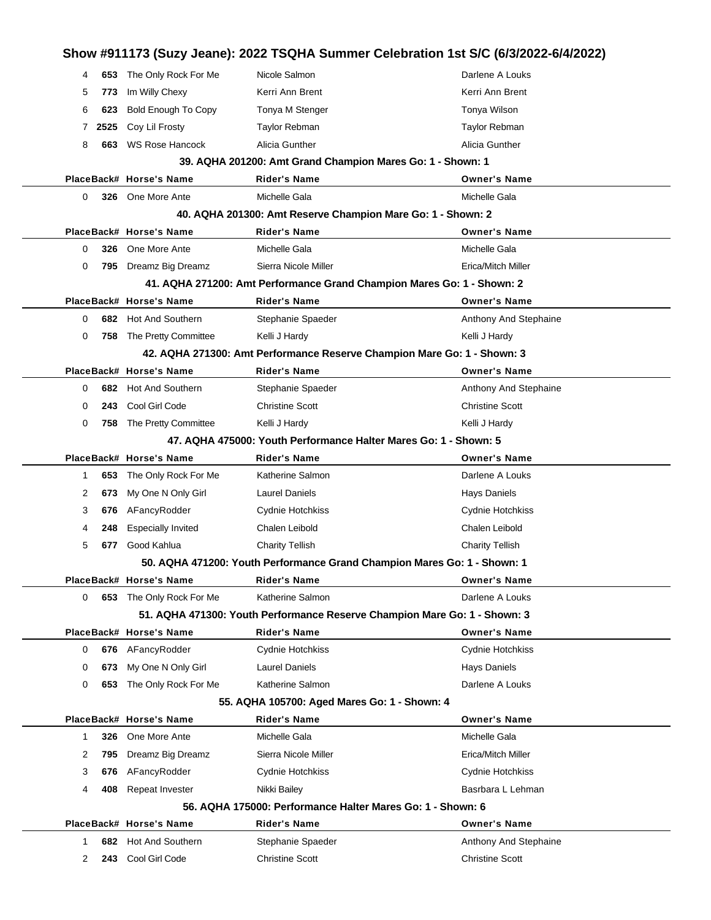|              |      |                            | Show #911173 (Suzy Jeane): 2022 TSQHA Summer Celebration 1st S/C (6/3/2022-6/4/2022) |                        |
|--------------|------|----------------------------|--------------------------------------------------------------------------------------|------------------------|
| 4            | 653  | The Only Rock For Me       | Nicole Salmon                                                                        | Darlene A Louks        |
| 5            | 773  | Im Willy Chexy             | Kerri Ann Brent                                                                      | Kerri Ann Brent        |
| 6            | 623  | <b>Bold Enough To Copy</b> | Tonya M Stenger                                                                      | Tonya Wilson           |
| 7            | 2525 | Coy Lil Frosty             | <b>Taylor Rebman</b>                                                                 | <b>Taylor Rebman</b>   |
| 8            | 663  | <b>WS Rose Hancock</b>     | Alicia Gunther                                                                       | Alicia Gunther         |
|              |      |                            | 39. AQHA 201200: Amt Grand Champion Mares Go: 1 - Shown: 1                           |                        |
|              |      | PlaceBack# Horse's Name    | <b>Rider's Name</b>                                                                  | <b>Owner's Name</b>    |
| 0            |      | 326 One More Ante          | Michelle Gala                                                                        | Michelle Gala          |
|              |      |                            | 40. AQHA 201300: Amt Reserve Champion Mare Go: 1 - Shown: 2                          |                        |
|              |      | PlaceBack# Horse's Name    | <b>Rider's Name</b>                                                                  | <b>Owner's Name</b>    |
| $\Omega$     | 326  | One More Ante              | Michelle Gala                                                                        | Michelle Gala          |
| 0            | 795  | Dreamz Big Dreamz          | Sierra Nicole Miller                                                                 | Erica/Mitch Miller     |
|              |      |                            | 41. AQHA 271200: Amt Performance Grand Champion Mares Go: 1 - Shown: 2               |                        |
|              |      | PlaceBack# Horse's Name    | <b>Rider's Name</b>                                                                  | <b>Owner's Name</b>    |
| 0            | 682  | <b>Hot And Southern</b>    | Stephanie Spaeder                                                                    | Anthony And Stephaine  |
| 0            | 758  | The Pretty Committee       | Kelli J Hardy                                                                        | Kelli J Hardy          |
|              |      |                            | 42. AQHA 271300: Amt Performance Reserve Champion Mare Go: 1 - Shown: 3              |                        |
|              |      | PlaceBack# Horse's Name    | <b>Rider's Name</b>                                                                  | <b>Owner's Name</b>    |
| 0            | 682  | Hot And Southern           | Stephanie Spaeder                                                                    | Anthony And Stephaine  |
| 0            | 243  | Cool Girl Code             | <b>Christine Scott</b>                                                               | <b>Christine Scott</b> |
| 0            | 758  | The Pretty Committee       | Kelli J Hardy                                                                        | Kelli J Hardy          |
|              |      |                            | 47. AQHA 475000: Youth Performance Halter Mares Go: 1 - Shown: 5                     |                        |
|              |      | PlaceBack# Horse's Name    | <b>Rider's Name</b>                                                                  | <b>Owner's Name</b>    |
| 1            | 653  | The Only Rock For Me       | Katherine Salmon                                                                     | Darlene A Louks        |
| 2            | 673  | My One N Only Girl         | <b>Laurel Daniels</b>                                                                | <b>Hays Daniels</b>    |
| 3            | 676  | AFancyRodder               | Cydnie Hotchkiss                                                                     | Cydnie Hotchkiss       |
| 4            | 248  | <b>Especially Invited</b>  | Chalen Leibold                                                                       | <b>Chalen Leibold</b>  |
| 5            | 677  | Good Kahlua                | <b>Charity Tellish</b>                                                               | <b>Charity Tellish</b> |
|              |      |                            | 50. AQHA 471200: Youth Performance Grand Champion Mares Go: 1 - Shown: 1             |                        |
|              |      | PlaceBack# Horse's Name    | Rider's Name                                                                         | <b>Owner's Name</b>    |
| 0            |      | 653 The Only Rock For Me   | Katherine Salmon                                                                     | Darlene A Louks        |
|              |      |                            | 51. AQHA 471300: Youth Performance Reserve Champion Mare Go: 1 - Shown: 3            |                        |
|              |      | PlaceBack# Horse's Name    | <b>Rider's Name</b>                                                                  | <b>Owner's Name</b>    |
| 0            | 676  | AFancyRodder               | Cydnie Hotchkiss                                                                     | Cydnie Hotchkiss       |
| 0            | 673  | My One N Only Girl         | <b>Laurel Daniels</b>                                                                | Hays Daniels           |
| 0            |      | 653 The Only Rock For Me   | Katherine Salmon                                                                     | Darlene A Louks        |
|              |      |                            | 55. AQHA 105700: Aged Mares Go: 1 - Shown: 4                                         |                        |
|              |      | PlaceBack# Horse's Name    | <b>Rider's Name</b>                                                                  | <b>Owner's Name</b>    |
| $\mathbf{1}$ | 326  | One More Ante              | Michelle Gala                                                                        | Michelle Gala          |
| 2            | 795  | Dreamz Big Dreamz          | Sierra Nicole Miller                                                                 | Erica/Mitch Miller     |
| 3            | 676  | AFancyRodder               | Cydnie Hotchkiss                                                                     | Cydnie Hotchkiss       |
| 4            | 408  | Repeat Invester            | Nikki Bailey                                                                         | Basrbara L Lehman      |
|              |      |                            | 56. AQHA 175000: Performance Halter Mares Go: 1 - Shown: 6                           |                        |
|              |      | PlaceBack# Horse's Name    | Rider's Name                                                                         | <b>Owner's Name</b>    |
| 1            | 682  | Hot And Southern           | Stephanie Spaeder                                                                    | Anthony And Stephaine  |
| 2            | 243  | Cool Girl Code             | <b>Christine Scott</b>                                                               | <b>Christine Scott</b> |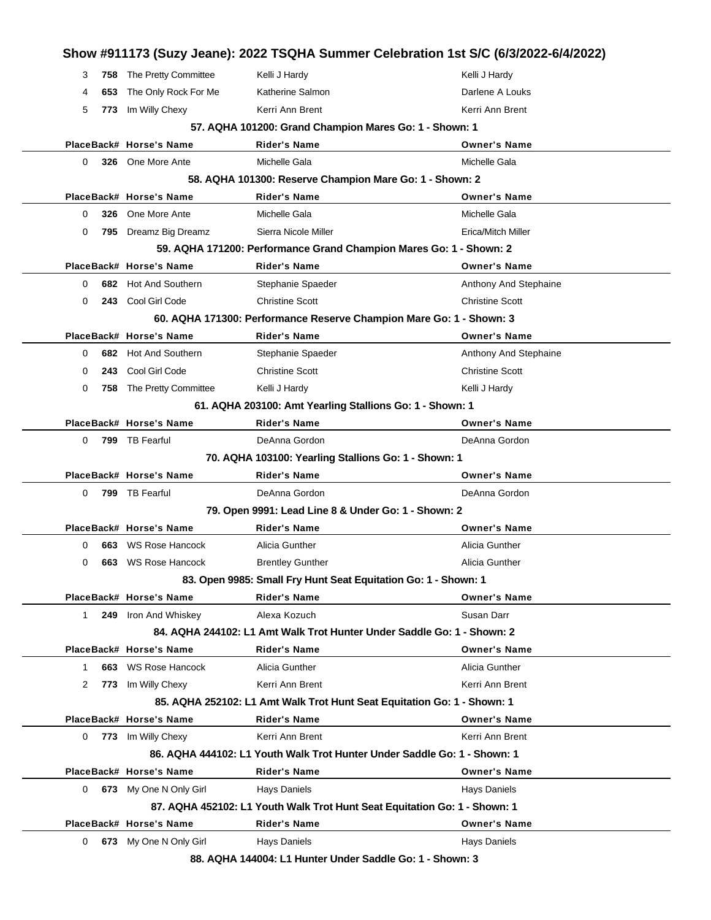|              |     |                                                     | Show #911173 (Suzy Jeane): 2022 TSQHA Summer Celebration 1st S/C (6/3/2022-6/4/2022) |                                     |
|--------------|-----|-----------------------------------------------------|--------------------------------------------------------------------------------------|-------------------------------------|
| 3            | 758 | The Pretty Committee                                | Kelli J Hardy                                                                        | Kelli J Hardy                       |
| 4            | 653 | The Only Rock For Me                                | Katherine Salmon                                                                     | Darlene A Louks                     |
| 5            | 773 | Im Willy Chexy                                      | Kerri Ann Brent                                                                      | Kerri Ann Brent                     |
|              |     |                                                     | 57. AQHA 101200: Grand Champion Mares Go: 1 - Shown: 1                               |                                     |
|              |     | PlaceBack# Horse's Name                             | Rider's Name                                                                         | <b>Owner's Name</b>                 |
| 0            |     | 326 One More Ante                                   | Michelle Gala                                                                        | Michelle Gala                       |
|              |     |                                                     | 58. AQHA 101300: Reserve Champion Mare Go: 1 - Shown: 2                              |                                     |
|              |     | PlaceBack# Horse's Name                             | <b>Rider's Name</b>                                                                  | <b>Owner's Name</b>                 |
| 0            | 326 | One More Ante                                       | Michelle Gala                                                                        | Michelle Gala                       |
| 0            |     | 795 Dreamz Big Dreamz                               | Sierra Nicole Miller                                                                 | Erica/Mitch Miller                  |
|              |     |                                                     | 59. AQHA 171200: Performance Grand Champion Mares Go: 1 - Shown: 2                   |                                     |
|              |     | PlaceBack# Horse's Name                             | Rider's Name                                                                         | <b>Owner's Name</b>                 |
| 0            |     | 682 Hot And Southern                                | Stephanie Spaeder                                                                    | Anthony And Stephaine               |
| 0            |     | 243 Cool Girl Code                                  | <b>Christine Scott</b>                                                               | <b>Christine Scott</b>              |
|              |     |                                                     | 60. AQHA 171300: Performance Reserve Champion Mare Go: 1 - Shown: 3                  |                                     |
|              |     | PlaceBack# Horse's Name                             | Rider's Name                                                                         | <b>Owner's Name</b>                 |
| 0            |     | 682 Hot And Southern                                | Stephanie Spaeder                                                                    | Anthony And Stephaine               |
| 0            | 243 | Cool Girl Code                                      | <b>Christine Scott</b>                                                               | <b>Christine Scott</b>              |
| 0            | 758 | The Pretty Committee                                | Kelli J Hardy                                                                        | Kelli J Hardy                       |
|              |     |                                                     | 61. AQHA 203100: Amt Yearling Stallions Go: 1 - Shown: 1                             |                                     |
|              |     | PlaceBack# Horse's Name                             | Rider's Name                                                                         | <b>Owner's Name</b>                 |
| 0            | 799 | TB Fearful                                          | DeAnna Gordon                                                                        | DeAnna Gordon                       |
|              |     |                                                     | 70. AQHA 103100: Yearling Stallions Go: 1 - Shown: 1                                 |                                     |
|              |     | PlaceBack# Horse's Name                             | Rider's Name                                                                         | <b>Owner's Name</b>                 |
| 0            |     | 799 TB Fearful                                      | DeAnna Gordon                                                                        | DeAnna Gordon                       |
|              |     |                                                     | 79. Open 9991: Lead Line 8 & Under Go: 1 - Shown: 2                                  |                                     |
|              |     | PlaceBack# Horse's Name                             | Rider's Name                                                                         | <b>Owner's Name</b>                 |
| 0            | 663 | WS Rose Hancock                                     | Alicia Gunther                                                                       | Alicia Gunther                      |
| 0            | 663 | WS Rose Hancock                                     | <b>Brentley Gunther</b>                                                              | Alicia Gunther                      |
|              |     |                                                     | 83. Open 9985: Small Fry Hunt Seat Equitation Go: 1 - Shown: 1                       |                                     |
|              |     | PlaceBack# Horse's Name                             | <b>Rider's Name</b>                                                                  | <b>Owner's Name</b>                 |
| $\mathbf{1}$ |     | 249 Iron And Whiskey                                | Alexa Kozuch                                                                         | Susan Darr                          |
|              |     |                                                     | 84. AQHA 244102: L1 Amt Walk Trot Hunter Under Saddle Go: 1 - Shown: 2               |                                     |
|              |     | PlaceBack# Horse's Name                             | <b>Rider's Name</b>                                                                  | <b>Owner's Name</b>                 |
| 1            |     | 663 WS Rose Hancock                                 | Alicia Gunther                                                                       | Alicia Gunther                      |
| 2            |     | 773 Im Willy Chexy                                  | Kerri Ann Brent                                                                      | Kerri Ann Brent                     |
|              |     |                                                     | 85. AQHA 252102: L1 Amt Walk Trot Hunt Seat Equitation Go: 1 - Shown: 1              |                                     |
|              |     | PlaceBack# Horse's Name                             | <b>Rider's Name</b>                                                                  | <b>Owner's Name</b>                 |
| $\mathbf{0}$ |     | 773 Im Willy Chexy                                  | Kerri Ann Brent                                                                      | Kerri Ann Brent                     |
|              |     |                                                     | 86. AQHA 444102: L1 Youth Walk Trot Hunter Under Saddle Go: 1 - Shown: 1             |                                     |
|              |     | PlaceBack# Horse's Name                             | <b>Rider's Name</b>                                                                  | <b>Owner's Name</b>                 |
|              |     | 0 673 My One N Only Girl                            | Hays Daniels                                                                         | <b>Hays Daniels</b>                 |
|              |     |                                                     |                                                                                      |                                     |
|              |     |                                                     | 87. AQHA 452102: L1 Youth Walk Trot Hunt Seat Equitation Go: 1 - Shown: 1            |                                     |
|              |     | PlaceBack# Horse's Name<br>0 673 My One N Only Girl | <b>Rider's Name</b><br><b>Hays Daniels</b>                                           | <b>Owner's Name</b><br>Hays Daniels |

**88. AQHA 144004: L1 Hunter Under Saddle Go: 1 - Shown: 3**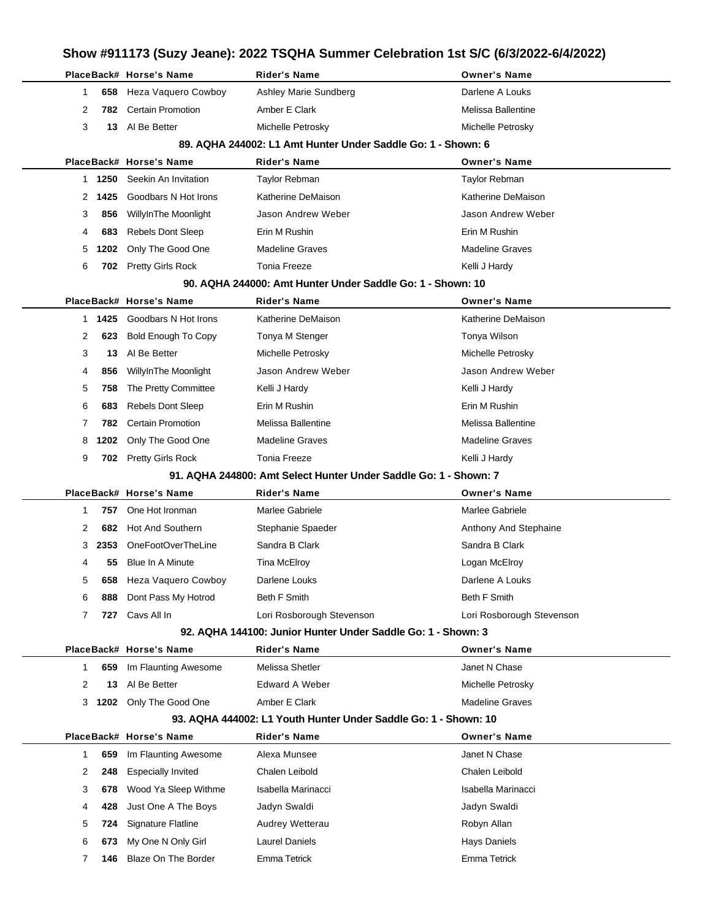### **Show #911173 (Suzy Jeane): 2022 TSQHA Summer Celebration 1st S/C (6/3/2022-6/4/2022) PlaceBack# Horse's Name Rider's Name Owner's Name** Heza Vaquero Cowboy Ashley Marie Sundberg **Darlene A Louks** Darlene A Louks **782** Certain Promotion **Amber E Clark** Melissa Ballentine **13** Al Be Better Michelle Petrosky Michelle Petrosky **89. AQHA 244002: L1 Amt Hunter Under Saddle Go: 1 - Shown: 6 PlaceBack# Horse's Name Rider's Name Owner's Name 1250** Seekin An Invitation Taylor Rebman Taylor Rebman **1425** Goodbars N Hot Irons Katherine DeMaison **Kathering DeMaison** Katherine DeMaison **856** WillyInThe Moonlight Jason Andrew Weber Jason Andrew Weber **683** Rebels Dont Sleep **Erin M Rushin** Erin M Rushin Erin M Rushin **1202** Only The Good One Madeline Graves Madeline Graves **702** Pretty Girls Rock Tonia Freeze Kelli J Hardy **90. AQHA 244000: Amt Hunter Under Saddle Go: 1 - Shown: 10 PlaceBack# Horse's Name Rider's Name Owner's Name 1425** Goodbars N Hot Irons Katherine DeMaison **Katherine DeMaison** Katherine DeMaison **623** Bold Enough To Copy Tonya M Stenger Tong Tonya Wilson **13** Al Be Better Michelle Petrosky Michelle Petrosky **856** WillyInThe Moonlight Jason Andrew Weber Jason Andrew Weber 5 758 The Pretty Committee Kelli J Hardy Kelli and the Kelli J Hardy Kelli J Hardy **683** Rebels Dont Sleep Erin M Rushin Erin M Rushin **782** Certain Promotion Melissa Ballentine Melissa Ballentine **1202** Only The Good One Madeline Graves Madeline Graves Madeline Graves **702** Pretty Girls Rock Tonia Freeze Tonia Freeze Kelli J Hardy **91. AQHA 244800: Amt Select Hunter Under Saddle Go: 1 - Shown: 7 PlaceBack# Horse's Name Rider's Name Owner's Name 757** One Hot Ironman Marlee Gabriele Marlee Gabriele **682** Hot And Southern Stephanie Spaeder Stephanie Stephanie Anthony And Stephaine **2353** OneFootOverTheLine Sandra B Clark Sandra B Clark Sandra B Clark **55** Blue In A Minute Tina McElroy **The Strutter Contact Accord McElroy** Cogan McElroy **658** Heza Vaquero Cowboy Darlene Louks **Data Louks** Darlene A Louks **888** Dont Pass My Hotrod Beth F Smith Beth F Smith Beth F Smith **727** Cavs All In Lori Rosborough Stevenson Lori Rosborough Stevenson **92. AQHA 144100: Junior Hunter Under Saddle Go: 1 - Shown: 3 PlaceBack# Horse's Name Rider's Name Owner's Name 659** Im Flaunting Awesome Melissa Shetler Method Melissa Shetler Janet N Chase **13** Al Be Better **Edward A Weber Example 2** Michelle Petrosky **1202** Only The Good One Amber E Clark Madeline Graves **93. AQHA 444002: L1 Youth Hunter Under Saddle Go: 1 - Shown: 10 PlaceBack# Horse's Name Rider's Name Owner's Name 659** Im Flaunting Awesome Alexa Munsee **Alexa Munsee** Janet N Chase **248** Especially Invited Chalen Leibold Chalen Leibold **678** Wood Ya Sleep Withme Isabella Marinacci **Isabella Marinacci** Isabella Marinacci **428** Just One A The Boys Jadyn Swaldi Jadyn Swaldi 5 724 Signature Flatline **Audrey Wetterau Communisty Robyn Allan 673** My One N Only Girl Laurel Daniels Hays Daniels **146** Blaze On The Border **Emma Tetrick** Emma Tetrick Emma Tetrick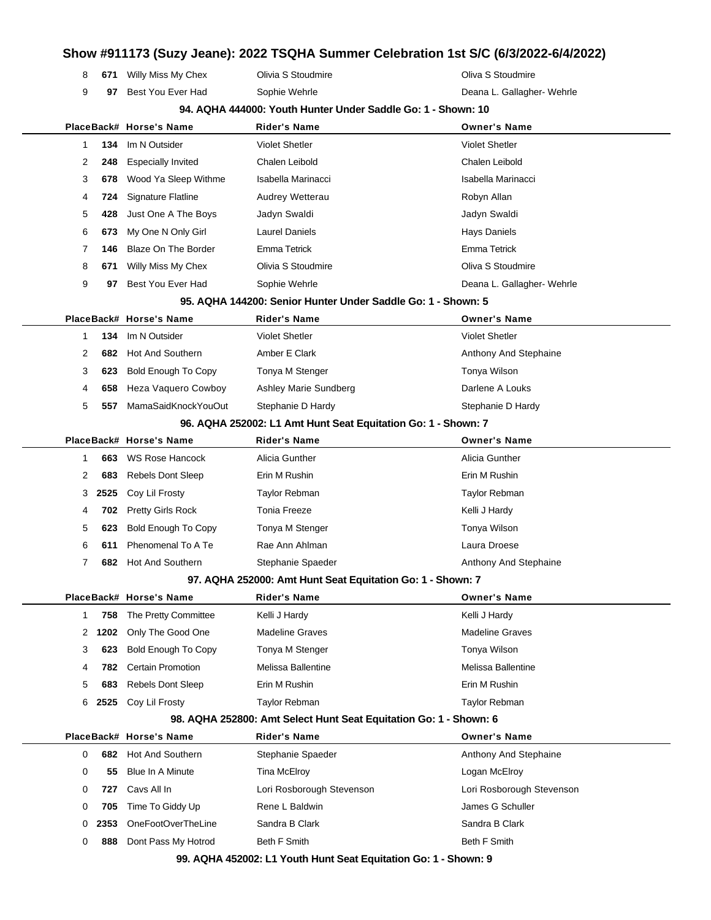| 8<br>671  | Willy Miss My Chex         | Olivia S Stoudmire                                                | Oliva S Stoudmire          |
|-----------|----------------------------|-------------------------------------------------------------------|----------------------------|
| 9<br>97   | Best You Ever Had          | Sophie Wehrle                                                     | Deana L. Gallagher- Wehrle |
|           |                            | 94. AQHA 444000: Youth Hunter Under Saddle Go: 1 - Shown: 10      |                            |
|           | PlaceBack# Horse's Name    | <b>Rider's Name</b>                                               | <b>Owner's Name</b>        |
| 134<br>1  | Im N Outsider              | <b>Violet Shetler</b>                                             | <b>Violet Shetler</b>      |
| 2<br>248  | <b>Especially Invited</b>  | Chalen Leibold                                                    | Chalen Leibold             |
| 3<br>678  | Wood Ya Sleep Withme       | Isabella Marinacci                                                | Isabella Marinacci         |
| 724<br>4  | Signature Flatline         | Audrey Wetterau                                                   | Robyn Allan                |
| 5<br>428  | Just One A The Boys        | Jadyn Swaldi                                                      | Jadyn Swaldi               |
| 6<br>673  | My One N Only Girl         | <b>Laurel Daniels</b>                                             | <b>Hays Daniels</b>        |
| 7<br>146  | <b>Blaze On The Border</b> | Emma Tetrick                                                      | Emma Tetrick               |
| 8<br>671  | Willy Miss My Chex         | Olivia S Stoudmire                                                | Oliva S Stoudmire          |
| 9<br>97   | Best You Ever Had          | Sophie Wehrle                                                     | Deana L. Gallagher- Wehrle |
|           |                            | 95. AQHA 144200: Senior Hunter Under Saddle Go: 1 - Shown: 5      |                            |
|           | PlaceBack# Horse's Name    | <b>Rider's Name</b>                                               | <b>Owner's Name</b>        |
| 134<br>1  | Im N Outsider              | <b>Violet Shetler</b>                                             | <b>Violet Shetler</b>      |
| 2<br>682  | Hot And Southern           | Amber E Clark                                                     | Anthony And Stephaine      |
| 3<br>623  | <b>Bold Enough To Copy</b> | Tonya M Stenger                                                   | Tonya Wilson               |
| 4<br>658  | Heza Vaquero Cowboy        | Ashley Marie Sundberg                                             | Darlene A Louks            |
| 5<br>557  | MamaSaidKnockYouOut        | Stephanie D Hardy                                                 | Stephanie D Hardy          |
|           |                            | 96. AQHA 252002: L1 Amt Hunt Seat Equitation Go: 1 - Shown: 7     |                            |
|           | PlaceBack# Horse's Name    | <b>Rider's Name</b>                                               | <b>Owner's Name</b>        |
| 663<br>1  | WS Rose Hancock            | Alicia Gunther                                                    | Alicia Gunther             |
| 2<br>683  | <b>Rebels Dont Sleep</b>   | Erin M Rushin                                                     | Erin M Rushin              |
| 2525<br>3 | Coy Lil Frosty             | Taylor Rebman                                                     | Taylor Rebman              |
| 702<br>4  | <b>Pretty Girls Rock</b>   | <b>Tonia Freeze</b>                                               | Kelli J Hardy              |
| 5<br>623  | <b>Bold Enough To Copy</b> | Tonya M Stenger                                                   | Tonya Wilson               |
| 6<br>611  | Phenomenal To A Te         | Rae Ann Ahlman                                                    | Laura Droese               |
| 7<br>682  | <b>Hot And Southern</b>    | Stephanie Spaeder                                                 | Anthony And Stephaine      |
|           |                            | 97. AQHA 252000: Amt Hunt Seat Equitation Go: 1 - Shown: 7        |                            |
|           | PlaceBack# Horse's Name    | Rider's Name                                                      | <b>Owner's Name</b>        |
| 758<br>1  | The Pretty Committee       | Kelli J Hardy                                                     | Kelli J Hardy              |
| 1202<br>2 | Only The Good One          | <b>Madeline Graves</b>                                            | <b>Madeline Graves</b>     |
| 3<br>623  | <b>Bold Enough To Copy</b> | Tonya M Stenger                                                   | Tonya Wilson               |
| 782<br>4  | <b>Certain Promotion</b>   | Melissa Ballentine                                                | Melissa Ballentine         |
| 5<br>683  | Rebels Dont Sleep          | Erin M Rushin                                                     | Erin M Rushin              |
| 6<br>2525 | Coy Lil Frosty             | Taylor Rebman                                                     | <b>Taylor Rebman</b>       |
|           |                            | 98. AQHA 252800: Amt Select Hunt Seat Equitation Go: 1 - Shown: 6 |                            |
|           | PlaceBack# Horse's Name    | <b>Rider's Name</b>                                               | <b>Owner's Name</b>        |
| 0<br>682  | Hot And Southern           | Stephanie Spaeder                                                 | Anthony And Stephaine      |
| 0<br>55   | Blue In A Minute           | Tina McElroy                                                      | Logan McElroy              |
| 727<br>0  | Cavs All In                | Lori Rosborough Stevenson                                         | Lori Rosborough Stevenson  |
| 0<br>705  | Time To Giddy Up           | Rene L Baldwin                                                    | James G Schuller           |
| 2353<br>0 | OneFootOverTheLine         | Sandra B Clark                                                    | Sandra B Clark             |
| 0<br>888  | Dont Pass My Hotrod        | <b>Beth F Smith</b>                                               | <b>Beth F Smith</b>        |
|           |                            | 99. AQHA 452002: L1 Youth Hunt Seat Equitation Go: 1 - Shown: 9   |                            |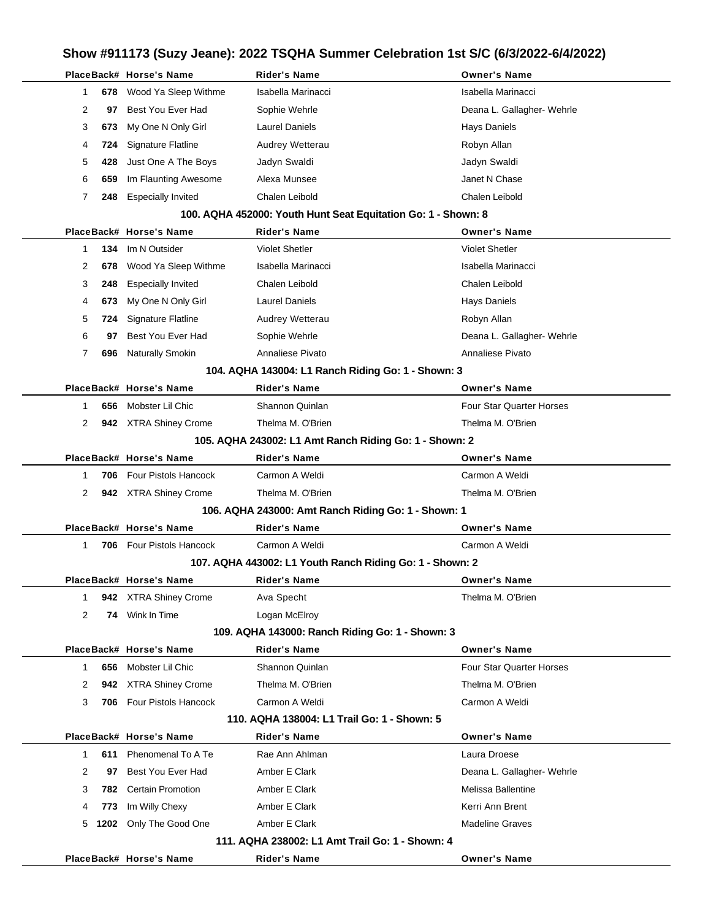|                | PlaceBack# Horse's Name           | <b>Rider's Name</b>                                           | <b>Owner's Name</b>             |
|----------------|-----------------------------------|---------------------------------------------------------------|---------------------------------|
| 1              | Wood Ya Sleep Withme<br>678<br>97 | Isabella Marinacci                                            | Isabella Marinacci              |
| 2              | Best You Ever Had                 | Sophie Wehrle                                                 | Deana L. Gallagher- Wehrle      |
| 3              | My One N Only Girl<br>673         | Laurel Daniels                                                | Hays Daniels                    |
| 4              | <b>Signature Flatline</b><br>724  | Audrey Wetterau                                               | Robyn Allan                     |
| 5              | Just One A The Boys<br>428        | Jadyn Swaldi                                                  | Jadyn Swaldi                    |
| 6              | Im Flaunting Awesome<br>659       | Alexa Munsee                                                  | Janet N Chase                   |
| 7              | <b>Especially Invited</b><br>248  | Chalen Leibold                                                | Chalen Leibold                  |
|                |                                   | 100. AQHA 452000: Youth Hunt Seat Equitation Go: 1 - Shown: 8 |                                 |
|                | PlaceBack# Horse's Name           | <b>Rider's Name</b>                                           | <b>Owner's Name</b>             |
| $\mathbf{1}$   | Im N Outsider<br>134              | <b>Violet Shetler</b>                                         | <b>Violet Shetler</b>           |
| 2              | Wood Ya Sleep Withme<br>678       | Isabella Marinacci                                            | Isabella Marinacci              |
| 3              | <b>Especially Invited</b><br>248  | Chalen Leibold                                                | Chalen Leibold                  |
| 4              | My One N Only Girl<br>673         | <b>Laurel Daniels</b>                                         | <b>Hays Daniels</b>             |
| 5              | Signature Flatline<br>724         | Audrey Wetterau                                               | Robyn Allan                     |
| 6              | Best You Ever Had<br>97           | Sophie Wehrle                                                 | Deana L. Gallagher- Wehrle      |
| 7              | Naturally Smokin<br>696           | Annaliese Pivato                                              | Annaliese Pivato                |
|                |                                   | 104. AQHA 143004: L1 Ranch Riding Go: 1 - Shown: 3            |                                 |
|                | PlaceBack# Horse's Name           | <b>Rider's Name</b>                                           | <b>Owner's Name</b>             |
| 1              | Mobster Lil Chic<br>656           | Shannon Quinlan                                               | <b>Four Star Quarter Horses</b> |
| 2              | 942 XTRA Shiney Crome             | Thelma M. O'Brien                                             | Thelma M. O'Brien               |
|                |                                   | 105. AQHA 243002: L1 Amt Ranch Riding Go: 1 - Shown: 2        |                                 |
|                | PlaceBack# Horse's Name           | <b>Rider's Name</b>                                           | <b>Owner's Name</b>             |
| 1              | Four Pistols Hancock<br>706       | Carmon A Weldi                                                | Carmon A Weldi                  |
| 2              | 942 XTRA Shiney Crome             | Thelma M. O'Brien                                             | Thelma M. O'Brien               |
|                |                                   | 106. AQHA 243000: Amt Ranch Riding Go: 1 - Shown: 1           |                                 |
|                | PlaceBack# Horse's Name           | Rider's Name                                                  | <b>Owner's Name</b>             |
| 1              | Four Pistols Hancock<br>706       | Carmon A Weldi                                                | Carmon A Weldi                  |
|                |                                   | 107. AQHA 443002: L1 Youth Ranch Riding Go: 1 - Shown: 2      |                                 |
|                | PlaceBack# Horse's Name           | Rider's Name                                                  | <b>Owner's Name</b>             |
| 1              | 942 XTRA Shiney Crome             | Ava Specht                                                    | Thelma M. O'Brien               |
| $\overline{2}$ | 74 Wink In Time                   | Logan McElroy                                                 |                                 |
|                |                                   | 109. AQHA 143000: Ranch Riding Go: 1 - Shown: 3               |                                 |
|                | PlaceBack# Horse's Name           | <b>Rider's Name</b>                                           | <b>Owner's Name</b>             |
| $\mathbf 1$    | 656 Mobster Lil Chic              | Shannon Quinlan                                               | <b>Four Star Quarter Horses</b> |
| 2              | 942 XTRA Shiney Crome             | Thelma M. O'Brien                                             | Thelma M. O'Brien               |
| 3              | 706 Four Pistols Hancock          | Carmon A Weldi                                                | Carmon A Weldi                  |
|                |                                   | 110. AQHA 138004: L1 Trail Go: 1 - Shown: 5                   |                                 |
|                | PlaceBack# Horse's Name           | <b>Rider's Name</b>                                           | <b>Owner's Name</b>             |
| 1              | 611 Phenomenal To A Te            | Rae Ann Ahlman                                                | Laura Droese                    |
| 2              | Best You Ever Had<br>97           | Amber E Clark                                                 | Deana L. Gallagher- Wehrle      |
| 3              | <b>782</b> Certain Promotion      | Amber E Clark                                                 | Melissa Ballentine              |
| 4              | Im Willy Chexy                    | Amber E Clark                                                 | Kerri Ann Brent                 |
|                | 773<br>1202 Only The Good One     | Amber E Clark                                                 | <b>Madeline Graves</b>          |
| 5              |                                   |                                                               |                                 |
|                |                                   | 111, AQHA 238002: L1 Amt Trail Go: 1 - Shown: 4               |                                 |
|                | PlaceBack# Horse's Name           | Rider's Name                                                  | <b>Owner's Name</b>             |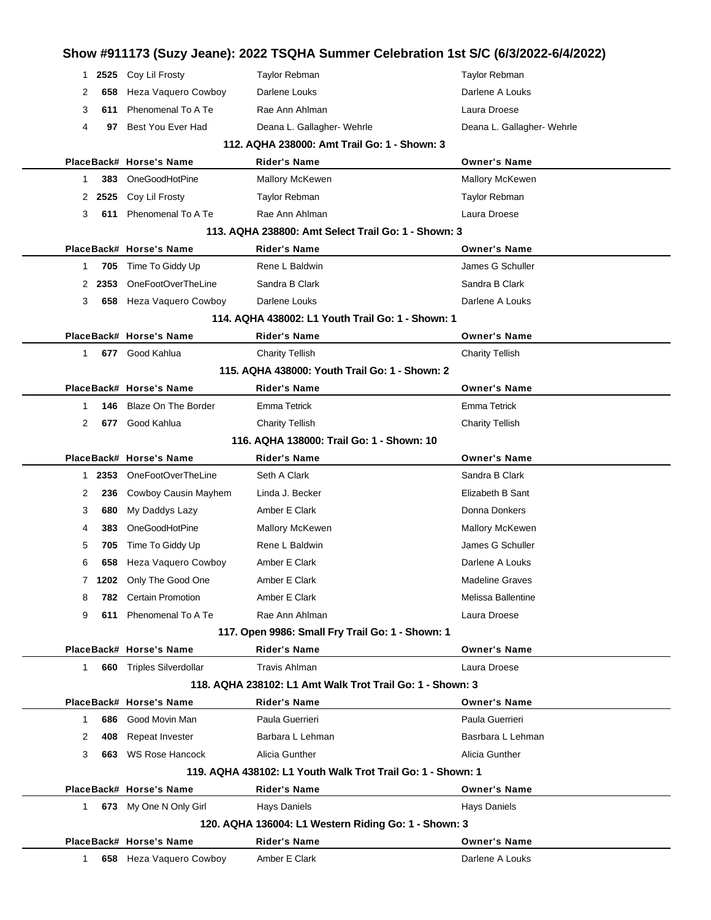| 1                                            |                                                     | 2525 Coy Lil Frosty      | Taylor Rebman                                               | Taylor Rebman              |  |  |  |  |  |  |  |
|----------------------------------------------|-----------------------------------------------------|--------------------------|-------------------------------------------------------------|----------------------------|--|--|--|--|--|--|--|
| 2                                            | 658                                                 | Heza Vaquero Cowboy      | Darlene Louks                                               | Darlene A Louks            |  |  |  |  |  |  |  |
| 3                                            | 611                                                 | Phenomenal To A Te       | Rae Ann Ahlman                                              | Laura Droese               |  |  |  |  |  |  |  |
| 4                                            | 97                                                  | Best You Ever Had        | Deana L. Gallagher- Wehrle                                  | Deana L. Gallagher- Wehrle |  |  |  |  |  |  |  |
| 112, AQHA 238000: Amt Trail Go: 1 - Shown: 3 |                                                     |                          |                                                             |                            |  |  |  |  |  |  |  |
|                                              |                                                     | PlaceBack# Horse's Name  | <b>Rider's Name</b>                                         | <b>Owner's Name</b>        |  |  |  |  |  |  |  |
| $\mathbf 1$                                  | 383                                                 | OneGoodHotPine           | Mallory McKewen                                             | Mallory McKewen            |  |  |  |  |  |  |  |
|                                              | 2 2525                                              | Coy Lil Frosty           | Taylor Rebman                                               | Taylor Rebman              |  |  |  |  |  |  |  |
| 3                                            | 611                                                 | Phenomenal To A Te       | Rae Ann Ahlman                                              | Laura Droese               |  |  |  |  |  |  |  |
|                                              | 113. AQHA 238800: Amt Select Trail Go: 1 - Shown: 3 |                          |                                                             |                            |  |  |  |  |  |  |  |
|                                              |                                                     | PlaceBack# Horse's Name  | <b>Rider's Name</b>                                         | <b>Owner's Name</b>        |  |  |  |  |  |  |  |
| 1                                            | 705                                                 | Time To Giddy Up         | Rene L Baldwin                                              | James G Schuller           |  |  |  |  |  |  |  |
| 2                                            | 2353                                                | OneFootOverTheLine       | Sandra B Clark                                              | Sandra B Clark             |  |  |  |  |  |  |  |
| 3                                            | 658                                                 | Heza Vaquero Cowboy      | Darlene Louks                                               | Darlene A Louks            |  |  |  |  |  |  |  |
|                                              |                                                     |                          | 114. AQHA 438002: L1 Youth Trail Go: 1 - Shown: 1           |                            |  |  |  |  |  |  |  |
|                                              |                                                     | PlaceBack# Horse's Name  | <b>Rider's Name</b>                                         | <b>Owner's Name</b>        |  |  |  |  |  |  |  |
|                                              | $\mathbf{1}$                                        | 677 Good Kahlua          | <b>Charity Tellish</b>                                      | <b>Charity Tellish</b>     |  |  |  |  |  |  |  |
|                                              |                                                     |                          | 115. AQHA 438000: Youth Trail Go: 1 - Shown: 2              |                            |  |  |  |  |  |  |  |
|                                              |                                                     | PlaceBack# Horse's Name  | <b>Rider's Name</b>                                         | <b>Owner's Name</b>        |  |  |  |  |  |  |  |
| 1                                            | 146                                                 | Blaze On The Border      | <b>Emma Tetrick</b>                                         | <b>Emma Tetrick</b>        |  |  |  |  |  |  |  |
| 2                                            | 677                                                 | Good Kahlua              | <b>Charity Tellish</b>                                      | <b>Charity Tellish</b>     |  |  |  |  |  |  |  |
|                                              |                                                     |                          | 116, AQHA 138000: Trail Go: 1 - Shown: 10                   |                            |  |  |  |  |  |  |  |
|                                              |                                                     | PlaceBack# Horse's Name  | <b>Rider's Name</b>                                         | <b>Owner's Name</b>        |  |  |  |  |  |  |  |
|                                              | 1 2353                                              | OneFootOverTheLine       | Seth A Clark                                                | Sandra B Clark             |  |  |  |  |  |  |  |
| 2                                            | 236                                                 | Cowboy Causin Mayhem     | Linda J. Becker                                             | Elizabeth B Sant           |  |  |  |  |  |  |  |
| 3                                            | 680                                                 | My Daddys Lazy           | Amber E Clark                                               | Donna Donkers              |  |  |  |  |  |  |  |
| 4                                            | 383                                                 | OneGoodHotPine           | Mallory McKewen                                             | <b>Mallory McKewen</b>     |  |  |  |  |  |  |  |
| 5                                            | 705                                                 | Time To Giddy Up         | Rene L Baldwin                                              | James G Schuller           |  |  |  |  |  |  |  |
| 6                                            | 658                                                 | Heza Vaquero Cowboy      | Amber E Clark                                               | Darlene A Louks            |  |  |  |  |  |  |  |
|                                              | 7.                                                  | 1202 Only The Good One   | Amber E Clark                                               | <b>Madeline Graves</b>     |  |  |  |  |  |  |  |
| 8                                            |                                                     | 782 Certain Promotion    | Amber E Clark                                               | Melissa Ballentine         |  |  |  |  |  |  |  |
| 9                                            | 611                                                 | Phenomenal To A Te       | Rae Ann Ahlman                                              | Laura Droese               |  |  |  |  |  |  |  |
|                                              |                                                     |                          | 117. Open 9986: Small Fry Trail Go: 1 - Shown: 1            |                            |  |  |  |  |  |  |  |
|                                              |                                                     | PlaceBack# Horse's Name  | Rider's Name                                                | <b>Owner's Name</b>        |  |  |  |  |  |  |  |
|                                              | $\mathbf{1}$                                        | 660 Triples Silverdollar | <b>Travis Ahlman</b>                                        | Laura Droese               |  |  |  |  |  |  |  |
|                                              |                                                     |                          | 118. AQHA 238102: L1 Amt Walk Trot Trail Go: 1 - Shown: 3   |                            |  |  |  |  |  |  |  |
|                                              |                                                     | PlaceBack# Horse's Name  | <b>Rider's Name</b>                                         | <b>Owner's Name</b>        |  |  |  |  |  |  |  |
| 1                                            | 686                                                 | Good Movin Man           | Paula Guerrieri                                             | Paula Guerrieri            |  |  |  |  |  |  |  |
| 2                                            | 408                                                 | Repeat Invester          | Barbara L Lehman                                            | Basrbara L Lehman          |  |  |  |  |  |  |  |
| 3                                            |                                                     | 663 WS Rose Hancock      | Alicia Gunther                                              | Alicia Gunther             |  |  |  |  |  |  |  |
|                                              |                                                     |                          | 119. AQHA 438102: L1 Youth Walk Trot Trail Go: 1 - Shown: 1 |                            |  |  |  |  |  |  |  |
|                                              |                                                     | PlaceBack# Horse's Name  | <b>Rider's Name</b>                                         | <b>Owner's Name</b>        |  |  |  |  |  |  |  |
|                                              | 1                                                   | 673 My One N Only Girl   | Hays Daniels                                                | <b>Hays Daniels</b>        |  |  |  |  |  |  |  |
|                                              |                                                     |                          | 120. AQHA 136004: L1 Western Riding Go: 1 - Shown: 3        |                            |  |  |  |  |  |  |  |
|                                              |                                                     | PlaceBack# Horse's Name  | <b>Rider's Name</b>                                         | <b>Owner's Name</b>        |  |  |  |  |  |  |  |
|                                              | 1.                                                  | 658 Heza Vaquero Cowboy  | Amber E Clark                                               | Darlene A Louks            |  |  |  |  |  |  |  |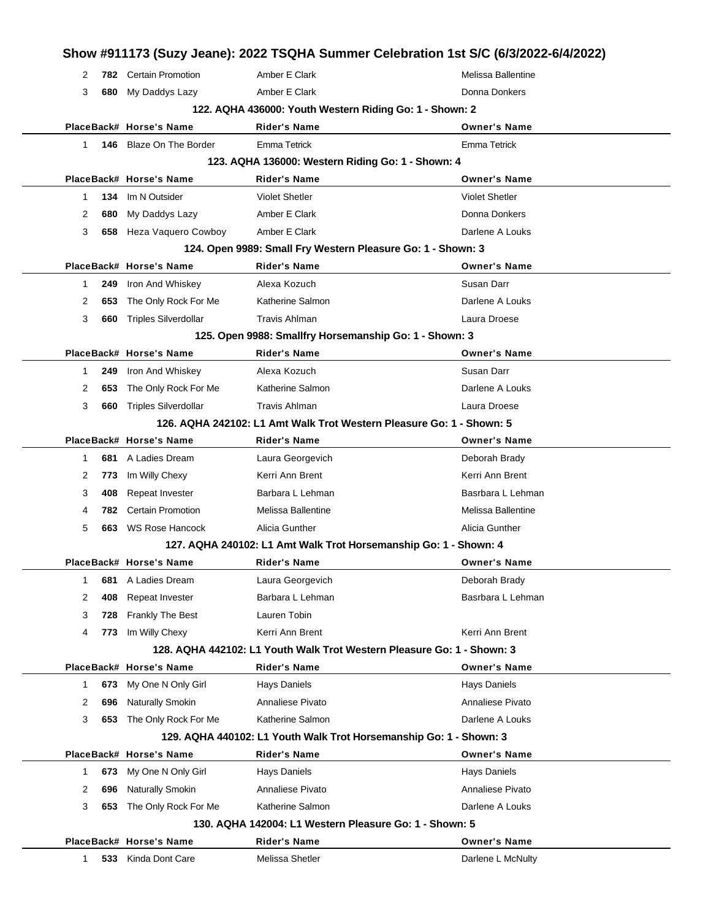|              |     |                              |                                                         | Show #911173 (Suzy Jeane): 2022 TSQHA Summer Celebration 1st S/C (6/3/2022-6/4/2022) |
|--------------|-----|------------------------------|---------------------------------------------------------|--------------------------------------------------------------------------------------|
| 2            |     | <b>782</b> Certain Promotion | Amber E Clark                                           | Melissa Ballentine                                                                   |
| 3            |     | 680 My Daddys Lazy           | Amber E Clark                                           | Donna Donkers                                                                        |
|              |     |                              | 122. AQHA 436000: Youth Western Riding Go: 1 - Shown: 2 |                                                                                      |
|              |     | PlaceBack# Horse's Name      | Rider's Name                                            | <b>Owner's Name</b>                                                                  |
| $\mathbf{1}$ |     | 146 Blaze On The Border      | Emma Tetrick                                            | <b>Emma Tetrick</b>                                                                  |
|              |     |                              | 123. AQHA 136000: Western Riding Go: 1 - Shown: 4       |                                                                                      |
|              |     | PlaceBack# Horse's Name      | Rider's Name                                            | <b>Owner's Name</b>                                                                  |
| 1            | 134 | Im N Outsider                | <b>Violet Shetler</b>                                   | <b>Violet Shetler</b>                                                                |
| 2            | 680 | My Daddys Lazy               | Amber E Clark                                           | Donna Donkers                                                                        |
| 3            |     | 658 Heza Vaquero Cowboy      | Amber E Clark                                           | Darlene A Louks                                                                      |
|              |     |                              |                                                         | 124. Open 9989: Small Fry Western Pleasure Go: 1 - Shown: 3                          |
|              |     | PlaceBack# Horse's Name      | Rider's Name                                            | <b>Owner's Name</b>                                                                  |
| 1            | 249 | Iron And Whiskey             | Alexa Kozuch                                            | Susan Darr                                                                           |
| 2            | 653 | The Only Rock For Me         | Katherine Salmon                                        | Darlene A Louks                                                                      |
| 3            | 660 | Triples Silverdollar         | Travis Ahlman                                           | Laura Droese                                                                         |
|              |     |                              | 125. Open 9988: Smallfry Horsemanship Go: 1 - Shown: 3  |                                                                                      |
|              |     | PlaceBack# Horse's Name      | Rider's Name                                            | <b>Owner's Name</b>                                                                  |
| 1            | 249 | Iron And Whiskey             | Alexa Kozuch                                            | Susan Darr                                                                           |
| 2            | 653 | The Only Rock For Me         | Katherine Salmon                                        | Darlene A Louks                                                                      |
| 3            |     | 660 Triples Silverdollar     | <b>Travis Ahlman</b>                                    | Laura Droese                                                                         |
|              |     |                              |                                                         | 126. AQHA 242102: L1 Amt Walk Trot Western Pleasure Go: 1 - Shown: 5                 |
|              |     | PlaceBack# Horse's Name      | Rider's Name                                            | <b>Owner's Name</b>                                                                  |
| 1            | 681 | A Ladies Dream               | Laura Georgevich                                        | Deborah Brady                                                                        |
| 2            | 773 | Im Willy Chexy               | Kerri Ann Brent                                         | Kerri Ann Brent                                                                      |
| 3            | 408 | Repeat Invester              | Barbara L Lehman                                        | Basrbara L Lehman                                                                    |
| 4            | 782 | <b>Certain Promotion</b>     | Melissa Ballentine                                      | Melissa Ballentine                                                                   |
| 5            |     | 663 WS Rose Hancock          | Alicia Gunther                                          | Alicia Gunther                                                                       |
|              |     |                              |                                                         | 127. AQHA 240102: L1 Amt Walk Trot Horsemanship Go: 1 - Shown: 4                     |
|              |     | PlaceBack# Horse's Name      | Rider's Name                                            | <b>Owner's Name</b>                                                                  |
| 1            | 681 | A Ladies Dream               | Laura Georgevich                                        | Deborah Brady                                                                        |
| 2            | 408 | Repeat Invester              | Barbara L Lehman                                        | Basrbara L Lehman                                                                    |
| 3            | 728 | Frankly The Best             | Lauren Tobin                                            |                                                                                      |
| 4            | 773 | Im Willy Chexy               | Kerri Ann Brent                                         | Kerri Ann Brent                                                                      |
|              |     |                              |                                                         | 128. AQHA 442102: L1 Youth Walk Trot Western Pleasure Go: 1 - Shown: 3               |
|              |     | PlaceBack# Horse's Name      | Rider's Name                                            | <b>Owner's Name</b>                                                                  |
| 1            | 673 | My One N Only Girl           | Hays Daniels                                            | <b>Hays Daniels</b>                                                                  |
| 2            | 696 | Naturally Smokin             | Annaliese Pivato                                        | Annaliese Pivato                                                                     |
| 3            | 653 | The Only Rock For Me         | Katherine Salmon                                        | Darlene A Louks                                                                      |
|              |     |                              |                                                         | 129. AQHA 440102: L1 Youth Walk Trot Horsemanship Go: 1 - Shown: 3                   |
|              |     | PlaceBack# Horse's Name      | Rider's Name                                            | <b>Owner's Name</b>                                                                  |
| 1            | 673 | My One N Only Girl           | Hays Daniels                                            | <b>Hays Daniels</b>                                                                  |
| 2            | 696 | Naturally Smokin             | Annaliese Pivato                                        | Annaliese Pivato                                                                     |
| 3            | 653 | The Only Rock For Me         | Katherine Salmon                                        | Darlene A Louks                                                                      |
|              |     |                              | 130. AQHA 142004: L1 Western Pleasure Go: 1 - Shown: 5  |                                                                                      |
|              |     | PlaceBack# Horse's Name      | Rider's Name                                            | <b>Owner's Name</b>                                                                  |
| 1            |     | 533 Kinda Dont Care          | Melissa Shetler                                         | Darlene L McNulty                                                                    |
|              |     |                              |                                                         |                                                                                      |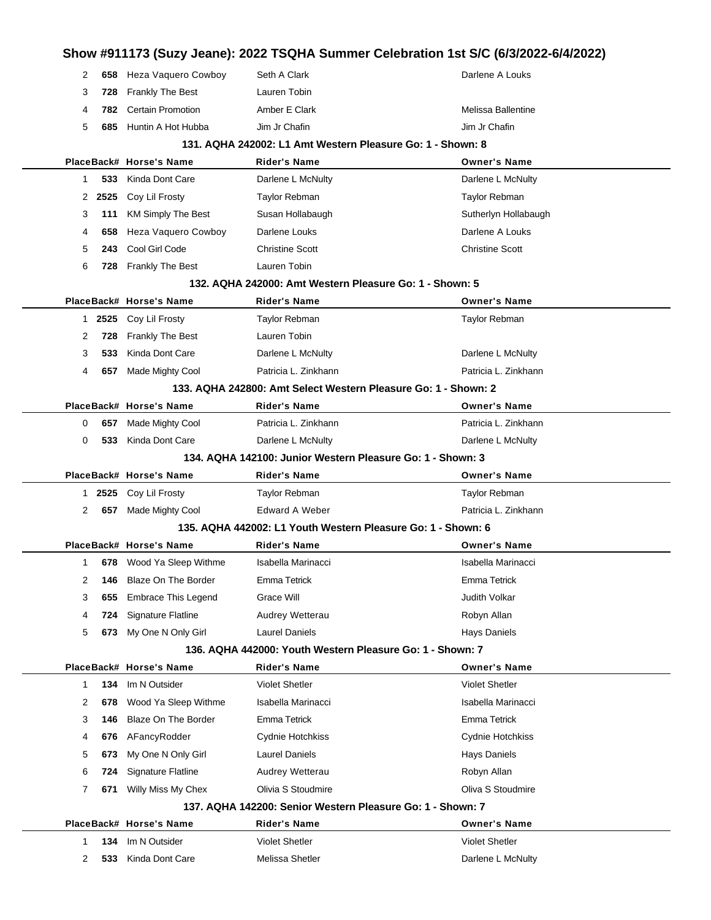| 2      | 658        | Heza Vaquero Cowboy              | Seth A Clark                                                   | Darlene A Louks                            |
|--------|------------|----------------------------------|----------------------------------------------------------------|--------------------------------------------|
| 3      | 728        | <b>Frankly The Best</b>          | Lauren Tobin                                                   |                                            |
| 4      | 782.       | <b>Certain Promotion</b>         | Amber E Clark                                                  | Melissa Ballentine                         |
| 5      | 685        | Huntin A Hot Hubba               | Jim Jr Chafin                                                  | Jim Jr Chafin                              |
|        |            |                                  | 131. AQHA 242002: L1 Amt Western Pleasure Go: 1 - Shown: 8     |                                            |
|        |            | PlaceBack# Horse's Name          | <b>Rider's Name</b>                                            | <b>Owner's Name</b>                        |
| 1      | 533        | Kinda Dont Care                  | Darlene L McNulty                                              | Darlene L McNulty                          |
|        | 2 2525     | Coy Lil Frosty                   | <b>Taylor Rebman</b>                                           | <b>Taylor Rebman</b>                       |
| 3      | 111        | <b>KM Simply The Best</b>        | Susan Hollabaugh                                               | Sutherlyn Hollabaugh                       |
| 4      | 658        | Heza Vaquero Cowboy              | Darlene Louks                                                  | Darlene A Louks                            |
| 5      | 243        | Cool Girl Code                   | <b>Christine Scott</b>                                         | <b>Christine Scott</b>                     |
| 6      |            | 728 Frankly The Best             | Lauren Tobin                                                   |                                            |
|        |            |                                  | 132. AQHA 242000: Amt Western Pleasure Go: 1 - Shown: 5        |                                            |
|        |            | PlaceBack# Horse's Name          | <b>Rider's Name</b>                                            | <b>Owner's Name</b>                        |
| 1.     | 2525       | Coy Lil Frosty                   | Taylor Rebman                                                  | Taylor Rebman                              |
| 2      | 728        | <b>Frankly The Best</b>          | Lauren Tobin                                                   |                                            |
| 3      | 533        | Kinda Dont Care                  | Darlene L McNulty                                              | Darlene L McNulty                          |
| 4      | 657        | Made Mighty Cool                 | Patricia L. Zinkhann                                           | Patricia L. Zinkhann                       |
|        |            |                                  | 133. AQHA 242800: Amt Select Western Pleasure Go: 1 - Shown: 2 |                                            |
|        |            | PlaceBack# Horse's Name          | Rider's Name                                                   | <b>Owner's Name</b>                        |
| 0      | 657        | Made Mighty Cool                 | Patricia L. Zinkhann                                           | Patricia L. Zinkhann                       |
| 0      | 533        | Kinda Dont Care                  | Darlene L McNulty                                              | Darlene L McNulty                          |
|        |            |                                  | 134. AQHA 142100: Junior Western Pleasure Go: 1 - Shown: 3     |                                            |
|        |            | PlaceBack# Horse's Name          | Rider's Name                                                   | <b>Owner's Name</b>                        |
| 1      | 2525       | Coy Lil Frosty                   | <b>Taylor Rebman</b>                                           | Taylor Rebman                              |
|        |            |                                  |                                                                | Patricia L. Zinkhann                       |
| 2      |            | 657 Made Mighty Cool             | <b>Edward A Weber</b>                                          |                                            |
|        |            |                                  | 135. AQHA 442002: L1 Youth Western Pleasure Go: 1 - Shown: 6   |                                            |
|        |            | PlaceBack# Horse's Name          | Rider's Name                                                   | <b>Owner's Name</b>                        |
| 1      |            | 678 Wood Ya Sleep Withme         | Isabella Marinacci                                             | Isabella Marinacci                         |
| 2      |            | <b>146</b> Blaze On The Border   | Emma Tetrick                                                   | Emma Tetrick                               |
| 3      | 655        | Embrace This Legend              | Grace Will                                                     | Judith Volkar                              |
| 4      | 724        | Signature Flatline               | Audrey Wetterau                                                | Robyn Allan                                |
| 5      |            | 673 My One N Only Girl           | <b>Laurel Daniels</b>                                          | Hays Daniels                               |
|        |            |                                  | 136. AQHA 442000: Youth Western Pleasure Go: 1 - Shown: 7      |                                            |
|        |            | PlaceBack# Horse's Name          | <b>Rider's Name</b>                                            | <b>Owner's Name</b>                        |
| 1      | 134        | Im N Outsider                    | <b>Violet Shetler</b>                                          | <b>Violet Shetler</b>                      |
| 2      | 678        | Wood Ya Sleep Withme             | Isabella Marinacci                                             | Isabella Marinacci                         |
| 3      | 146        | <b>Blaze On The Border</b>       | Emma Tetrick                                                   | Emma Tetrick                               |
| 4      | 676        | AFancyRodder                     | Cydnie Hotchkiss                                               | Cydnie Hotchkiss                           |
| 5      | 673        | My One N Only Girl               | <b>Laurel Daniels</b>                                          | <b>Hays Daniels</b>                        |
| 6      | 724        | Signature Flatline               | Audrey Wetterau                                                | Robyn Allan                                |
| 7      | 671        | Willy Miss My Chex               | Olivia S Stoudmire                                             | Oliva S Stoudmire                          |
|        |            |                                  | 137. AQHA 142200: Senior Western Pleasure Go: 1 - Shown: 7     |                                            |
|        |            | PlaceBack# Horse's Name          | <b>Rider's Name</b>                                            | <b>Owner's Name</b>                        |
| 1<br>2 | 134<br>533 | Im N Outsider<br>Kinda Dont Care | <b>Violet Shetler</b><br>Melissa Shetler                       | <b>Violet Shetler</b><br>Darlene L McNulty |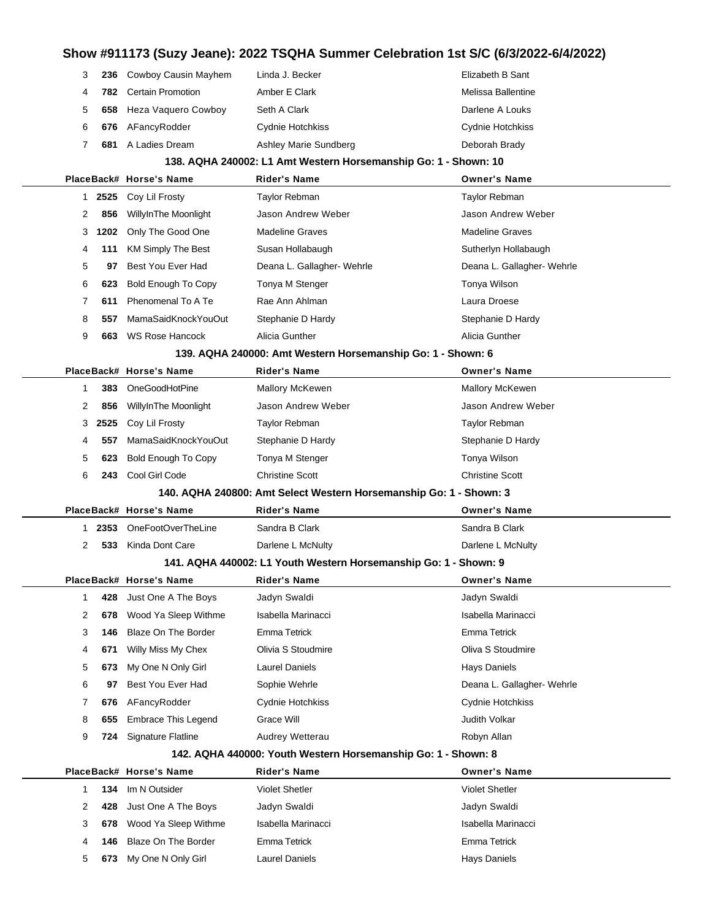| 3            | 236  | Cowboy Causin Mayhem       | Linda J. Becker                                                    | Elizabeth B Sant           |  |
|--------------|------|----------------------------|--------------------------------------------------------------------|----------------------------|--|
| 4            | 782  | <b>Certain Promotion</b>   | Amber E Clark                                                      | Melissa Ballentine         |  |
| 5            | 658  | Heza Vaquero Cowboy        | Seth A Clark                                                       | Darlene A Louks            |  |
| 6            | 676  | AFancyRodder               | Cydnie Hotchkiss                                                   | Cydnie Hotchkiss           |  |
| 7            | 681  | A Ladies Dream             | Ashley Marie Sundberg                                              | Deborah Brady              |  |
|              |      |                            | 138. AQHA 240002: L1 Amt Western Horsemanship Go: 1 - Shown: 10    |                            |  |
|              |      | PlaceBack# Horse's Name    | <b>Rider's Name</b>                                                | <b>Owner's Name</b>        |  |
| $\mathbf{1}$ | 2525 | Coy Lil Frosty             | Taylor Rebman                                                      | Taylor Rebman              |  |
| 2            | 856  | WillyInThe Moonlight       | Jason Andrew Weber                                                 | Jason Andrew Weber         |  |
| 3            | 1202 | Only The Good One          | <b>Madeline Graves</b>                                             | <b>Madeline Graves</b>     |  |
| 4            | 111  | <b>KM Simply The Best</b>  | Susan Hollabaugh                                                   | Sutherlyn Hollabaugh       |  |
| 5            | 97   | Best You Ever Had          | Deana L. Gallagher- Wehrle                                         | Deana L. Gallagher- Wehrle |  |
| 6            | 623  | <b>Bold Enough To Copy</b> | Tonya M Stenger                                                    | Tonya Wilson               |  |
| 7            | 611  | Phenomenal To A Te         | Rae Ann Ahlman                                                     | Laura Droese               |  |
| 8            | 557  | MamaSaidKnockYouOut        | Stephanie D Hardy                                                  | Stephanie D Hardy          |  |
| 9            | 663  | <b>WS Rose Hancock</b>     | Alicia Gunther                                                     | Alicia Gunther             |  |
|              |      |                            | 139. AQHA 240000: Amt Western Horsemanship Go: 1 - Shown: 6        |                            |  |
|              |      | PlaceBack# Horse's Name    | Rider's Name                                                       | <b>Owner's Name</b>        |  |
| 1            | 383  | OneGoodHotPine             | Mallory McKewen                                                    | Mallory McKewen            |  |
| 2            | 856  | WillyInThe Moonlight       | Jason Andrew Weber                                                 | Jason Andrew Weber         |  |
| 3            | 2525 | Coy Lil Frosty             | Taylor Rebman                                                      | <b>Taylor Rebman</b>       |  |
| 4            | 557  | MamaSaidKnockYouOut        | Stephanie D Hardy                                                  | Stephanie D Hardy          |  |
| 5            | 623  | <b>Bold Enough To Copy</b> | Tonya M Stenger                                                    | Tonya Wilson               |  |
| 6            | 243  | Cool Girl Code             | <b>Christine Scott</b>                                             | <b>Christine Scott</b>     |  |
|              |      |                            | 140. AQHA 240800: Amt Select Western Horsemanship Go: 1 - Shown: 3 |                            |  |
|              |      | PlaceBack# Horse's Name    | <b>Rider's Name</b>                                                | <b>Owner's Name</b>        |  |
| $\mathbf{1}$ | 2353 | OneFootOverTheLine         | Sandra B Clark                                                     | Sandra B Clark             |  |
| 2            | 533  | Kinda Dont Care            | Darlene L McNulty                                                  | Darlene L McNulty          |  |
|              |      |                            | 141. AQHA 440002: L1 Youth Western Horsemanship Go: 1 - Shown: 9   |                            |  |
|              |      | PlaceBack# Horse's Name    | Rider's Name                                                       | <b>Owner's Name</b>        |  |
| 1            | 428  | Just One A The Boys        | Jadyn Swaldi                                                       | Jadyn Swaldi               |  |
| 2            | 678  | Wood Ya Sleep Withme       | Isabella Marinacci                                                 | Isabella Marinacci         |  |
| 3            | 146  | Blaze On The Border        | Emma Tetrick                                                       | Emma Tetrick               |  |
| 4            | 671  | Willy Miss My Chex         | Olivia S Stoudmire                                                 | Oliva S Stoudmire          |  |
| 5            | 673  | My One N Only Girl         | <b>Laurel Daniels</b>                                              | <b>Hays Daniels</b>        |  |
| 6            | 97   | Best You Ever Had          | Sophie Wehrle                                                      | Deana L. Gallagher- Wehrle |  |
| 7            | 676  | AFancyRodder               | Cydnie Hotchkiss                                                   | Cydnie Hotchkiss           |  |
| 8            | 655  | <b>Embrace This Legend</b> | Grace Will                                                         | <b>Judith Volkar</b>       |  |
| 9            | 724  | Signature Flatline         | Audrey Wetterau                                                    | Robyn Allan                |  |
|              |      |                            | 142. AQHA 440000: Youth Western Horsemanship Go: 1 - Shown: 8      |                            |  |
|              |      | PlaceBack# Horse's Name    | <b>Rider's Name</b>                                                | <b>Owner's Name</b>        |  |
| $\mathbf{1}$ | 134  | Im N Outsider              | <b>Violet Shetler</b>                                              | <b>Violet Shetler</b>      |  |
| 2            | 428  | Just One A The Boys        | Jadyn Swaldi                                                       | Jadyn Swaldi               |  |
|              | 678  | Wood Ya Sleep Withme       | Isabella Marinacci                                                 | Isabella Marinacci         |  |
| 3            |      |                            |                                                                    |                            |  |
| 4            | 146  | Blaze On The Border        | Emma Tetrick                                                       | Emma Tetrick               |  |